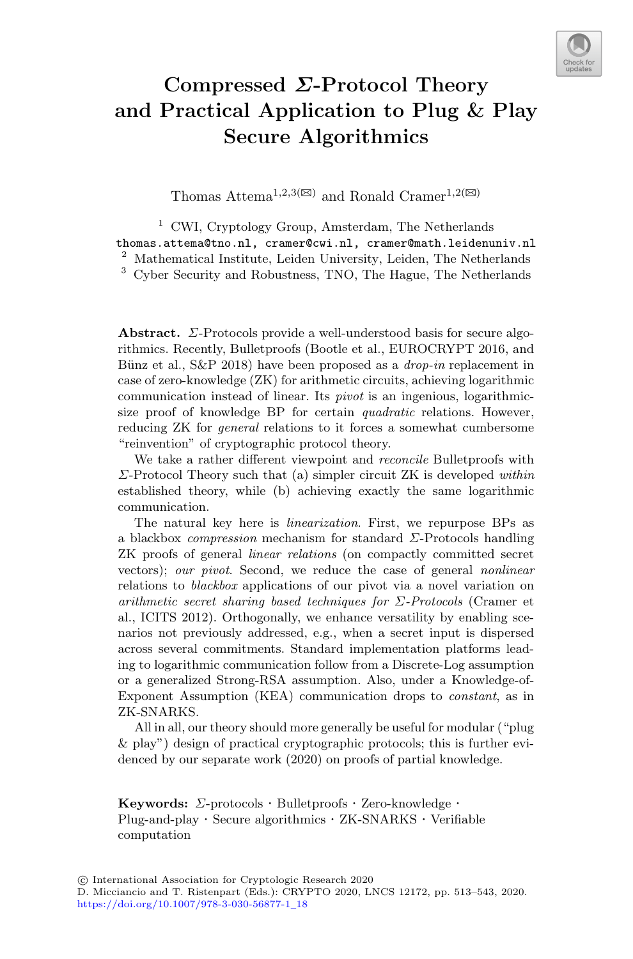

# **Compressed** *Σ***-Protocol Theory and Practical Application to Plug & Play Secure Algorithmics**

Thomas Attema<sup>1,2,3( $\boxtimes$ )</sup> and Ronald Cramer<sup>1,2( $\boxtimes$ )</sup>

<sup>1</sup> CWI, Cryptology Group, Amsterdam, The Netherlands thomas.attema@tno.nl, cramer@cwi.nl, cramer@math.leidenuniv.nl <sup>2</sup> Mathematical Institute, Leiden University, Leiden, The Netherlands

<sup>3</sup> Cyber Security and Robustness, TNO, The Hague, The Netherlands

**Abstract.** Σ-Protocols provide a well-understood basis for secure algorithmics. Recently, Bulletproofs (Bootle et al., EUROCRYPT 2016, and Bünz et al., S&P 2018) have been proposed as a *drop-in* replacement in case of zero-knowledge (ZK) for arithmetic circuits, achieving logarithmic communication instead of linear. Its *pivot* is an ingenious, logarithmicsize proof of knowledge BP for certain *quadratic* relations. However, reducing ZK for *general* relations to it forces a somewhat cumbersome "reinvention" of cryptographic protocol theory.

We take a rather different viewpoint and *reconcile* Bulletproofs with Σ-Protocol Theory such that (a) simpler circuit ZK is developed *within* established theory, while (b) achieving exactly the same logarithmic communication.

The natural key here is *linearization*. First, we repurpose BPs as a blackbox *compression* mechanism for standard Σ-Protocols handling ZK proofs of general *linear relations* (on compactly committed secret vectors); *our pivot*. Second, we reduce the case of general *nonlinear* relations to *blackbox* applications of our pivot via a novel variation on *arithmetic secret sharing based techniques for* Σ*-Protocols* (Cramer et al., ICITS 2012). Orthogonally, we enhance versatility by enabling scenarios not previously addressed, e.g., when a secret input is dispersed across several commitments. Standard implementation platforms leading to logarithmic communication follow from a Discrete-Log assumption or a generalized Strong-RSA assumption. Also, under a Knowledge-of-Exponent Assumption (KEA) communication drops to *constant*, as in ZK-SNARKS.

All in all, our theory should more generally be useful for modular ("plug & play") design of practical cryptographic protocols; this is further evidenced by our separate work (2020) on proofs of partial knowledge.

**Keywords:** <sup>Σ</sup>-protocols · Bulletproofs · Zero-knowledge · Plug-and-play · Secure algorithmics · ZK-SNARKS · Verifiable computation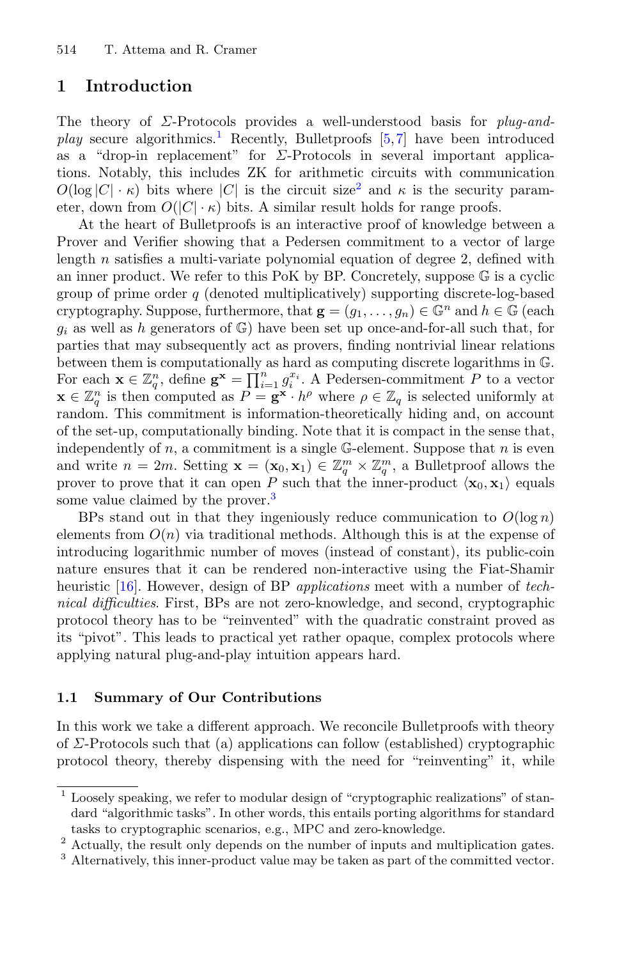# **1 Introduction**

The theory of Σ-Protocols provides a well-understood basis for *plug-andplay* secure algorithmics.<sup>[1](#page-1-0)</sup> Recently, Bulletproofs  $[5,7]$  $[5,7]$  $[5,7]$  have been introduced as a "drop-in replacement" for  $\Sigma$ -Protocols in several important applications. Notably, this includes ZK for arithmetic circuits with communication  $O(\log |C| \cdot \kappa)$  bits where |C| is the circuit size<sup>[2](#page-1-1)</sup> and  $\kappa$  is the security parameter, down from  $O(|C| \cdot \kappa)$  bits. A similar result holds for range proofs.

At the heart of Bulletproofs is an interactive proof of knowledge between a Prover and Verifier showing that a Pedersen commitment to a vector of large length n satisfies a multi-variate polynomial equation of degree 2, defined with an inner product. We refer to this PoK by BP. Concretely, suppose G is a cyclic group of prime order  $q$  (denoted multiplicatively) supporting discrete-log-based cryptography. Suppose, furthermore, that  $\mathbf{g} = (g_1, \ldots, g_n) \in \mathbb{G}^n$  and  $h \in \mathbb{G}$  (each  $g_i$  as well as h generators of  $\mathbb{G}$ ) have been set up once-and-for-all such that, for parties that may subsequently act as provers, finding nontrivial linear relations between them is computationally as hard as computing discrete logarithms in G. For each  $\mathbf{x} \in \mathbb{Z}_q^n$ , define  $\mathbf{g}^{\mathbf{x}} = \prod_{i=1}^n g_i^{x_i}$ . A Pedersen-commitment P to a vector  $\mathbf{x} \in \mathbb{Z}_q^n$  is then computed as  $P = \mathbf{g}^{\mathbf{x}} \cdot h^\rho$  where  $\rho \in \mathbb{Z}_q$  is selected uniformly at random. This random. This commitment is information-theoretically hiding and, on account of the set-up, computationally binding. Note that it is compact in the sense that, independently of n, a commitment is a single  $\mathbb{G}$ -element. Suppose that n is even and write  $n = 2m$ . Setting  $\mathbf{x} = (\mathbf{x}_0, \mathbf{x}_1) \in \mathbb{Z}_q^m \times \mathbb{Z}_q^m$ , a Bulletproof allows the prover to prove that it can open P such that the inner-product  $(\mathbf{x}_0, \mathbf{x}_1)$  equals prover to prove that it can open [P](#page-1-2) such that the inner-product  $\langle \mathbf{x}_0, \mathbf{x}_1 \rangle$  equals some value claimed by the prover.<sup>3</sup>

BPs stand out in that they ingeniously reduce communication to  $O(\log n)$ elements from  $O(n)$  via traditional methods. Although this is at the expense of introducing logarithmic number of moves (instead of constant), its public-coin nature ensures that it can be rendered non-interactive using the Fiat-Shamir heuristic [\[16\]](#page-29-2). However, design of BP *applications* meet with a number of *technical difficulties*. First, BPs are not zero-knowledge, and second, cryptographic protocol theory has to be "reinvented" with the quadratic constraint proved as its "pivot". This leads to practical yet rather opaque, complex protocols where applying natural plug-and-play intuition appears hard.

#### **1.1 Summary of Our Contributions**

In this work we take a different approach. We reconcile Bulletproofs with theory of  $\Sigma$ -Protocols such that (a) applications can follow (established) cryptographic protocol theory, thereby dispensing with the need for "reinventing" it, while

<span id="page-1-0"></span><sup>&</sup>lt;sup>1</sup> Loosely speaking, we refer to modular design of "cryptographic realizations" of standard "algorithmic tasks". In other words, this entails porting algorithms for standard tasks to cryptographic scenarios, e.g., MPC and zero-knowledge.

<span id="page-1-1"></span><sup>&</sup>lt;sup>2</sup> Actually, the result only depends on the number of inputs and multiplication gates.

<span id="page-1-2"></span><sup>&</sup>lt;sup>3</sup> Alternatively, this inner-product value may be taken as part of the committed vector.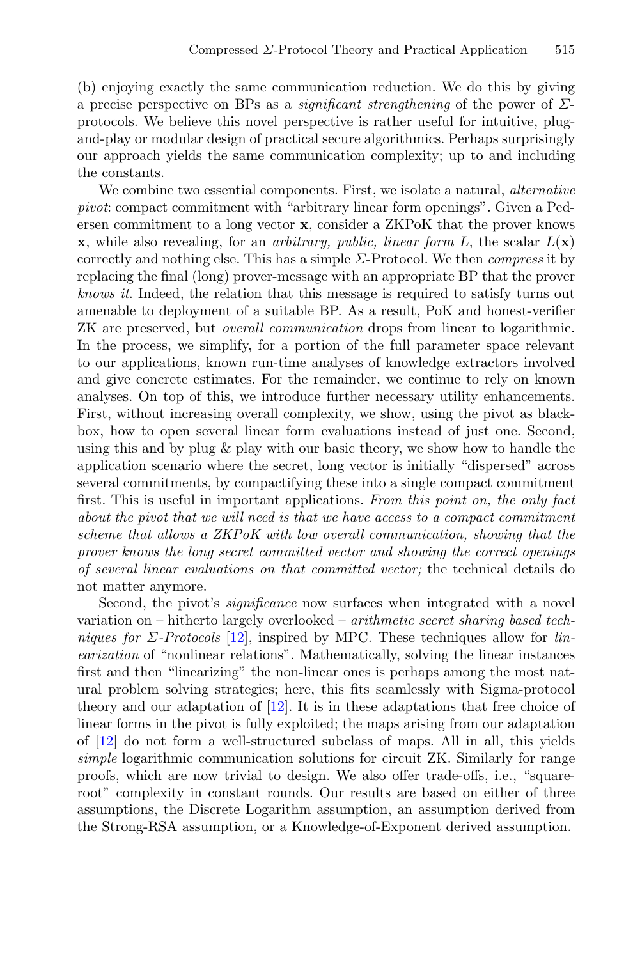(b) enjoying exactly the same communication reduction. We do this by giving a precise perspective on BPs as a *significant strengthening* of the power of Σprotocols. We believe this novel perspective is rather useful for intuitive, plugand-play or modular design of practical secure algorithmics. Perhaps surprisingly our approach yields the same communication complexity; up to and including the constants.

We combine two essential components. First, we isolate a natural, *alternative pivot*: compact commitment with "arbitrary linear form openings". Given a Pedersen commitment to a long vector **x**, consider a ZKPoK that the prover knows **x**, while also revealing, for an *arbitrary, public, linear form*  $L$ , the scalar  $L(\mathbf{x})$ correctly and nothing else. This has a simple Σ-Protocol. We then *compress* it by replacing the final (long) prover-message with an appropriate BP that the prover *knows it*. Indeed, the relation that this message is required to satisfy turns out amenable to deployment of a suitable BP. As a result, PoK and honest-verifier ZK are preserved, but *overall communication* drops from linear to logarithmic. In the process, we simplify, for a portion of the full parameter space relevant to our applications, known run-time analyses of knowledge extractors involved and give concrete estimates. For the remainder, we continue to rely on known analyses. On top of this, we introduce further necessary utility enhancements. First, without increasing overall complexity, we show, using the pivot as blackbox, how to open several linear form evaluations instead of just one. Second, using this and by plug & play with our basic theory, we show how to handle the application scenario where the secret, long vector is initially "dispersed" across several commitments, by compactifying these into a single compact commitment first. This is useful in important applications. *From this point on, the only fact about the pivot that we will need is that we have access to a compact commitment scheme that allows a ZKPoK with low overall communication, showing that the prover knows the long secret committed vector and showing the correct openings of several linear evaluations on that committed vector;* the technical details do not matter anymore.

Second, the pivot's *significance* now surfaces when integrated with a novel variation on – hitherto largely overlooked – *arithmetic secret sharing based techniques for* Σ*-Protocols* [\[12\]](#page-29-3), inspired by MPC. These techniques allow for *linearization* of "nonlinear relations". Mathematically, solving the linear instances first and then "linearizing" the non-linear ones is perhaps among the most natural problem solving strategies; here, this fits seamlessly with Sigma-protocol theory and our adaptation of [\[12\]](#page-29-3). It is in these adaptations that free choice of linear forms in the pivot is fully exploited; the maps arising from our adaptation of [\[12\]](#page-29-3) do not form a well-structured subclass of maps. All in all, this yields *simple* logarithmic communication solutions for circuit ZK. Similarly for range proofs, which are now trivial to design. We also offer trade-offs, i.e., "squareroot" complexity in constant rounds. Our results are based on either of three assumptions, the Discrete Logarithm assumption, an assumption derived from the Strong-RSA assumption, or a Knowledge-of-Exponent derived assumption.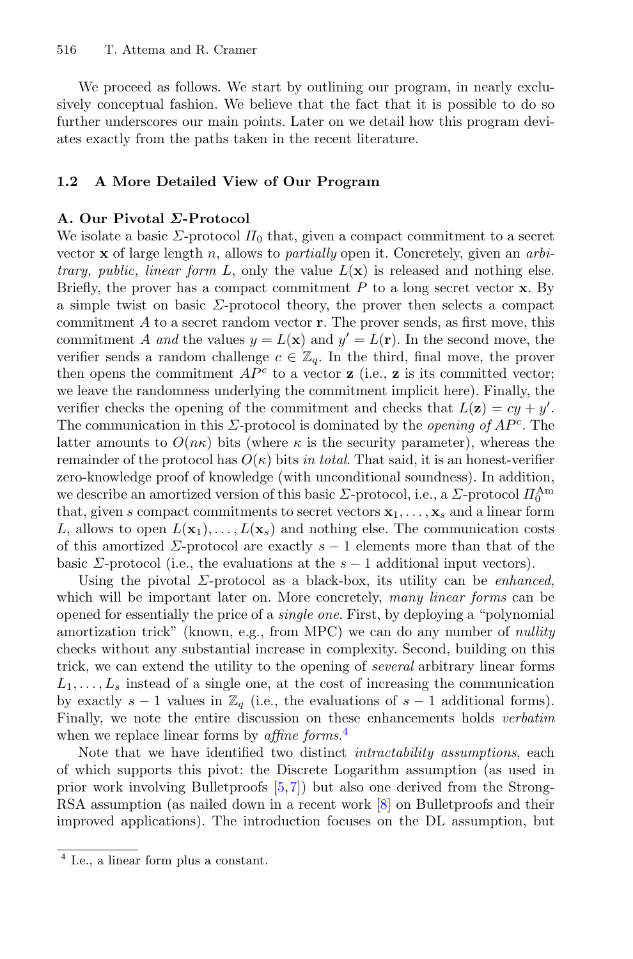We proceed as follows. We start by outlining our program, in nearly exclusively conceptual fashion. We believe that the fact that it is possible to do so further underscores our main points. Later on we detail how this program deviates exactly from the paths taken in the recent literature.

### <span id="page-3-1"></span>**1.2 A More Detailed View of Our Program**

#### **A. Our Pivotal** *Σ***-Protocol**

We isolate a basic  $\Sigma$ -protocol  $\Pi_0$  that, given a compact commitment to a secret vector **<sup>x</sup>** of large length n, allows to *partially* open it. Concretely, given an *arbitrary, public, linear form* L, only the value  $L(\mathbf{x})$  is released and nothing else. Briefly, the prover has a compact commitment  $P$  to a long secret vector  $\bf{x}$ . By a simple twist on basic  $\Sigma$ -protocol theory, the prover then selects a compact commitment A to a secret random vector **<sup>r</sup>**. The prover sends, as first move, this commitment A and the values  $y = L(\mathbf{x})$  and  $y' = L(\mathbf{r})$ . In the second move, the verifier sends a random challenge  $c \in \mathbb{Z}_q$ . In the third, final move, the prover then opens the commitment  $AP<sup>c</sup>$  to a vector **z** (i.e., **z** is its committed vector; we leave the randomness underlying the commitment implicit here). Finally, the verifier checks the opening of the commitment and checks that  $L(\mathbf{z}) = cy + y'$ .<br>The communication in this  $\Sigma$ -protocol is dominated by the *opening of AP<sup>c</sup>*. The The communication in this  $\Sigma$ -protocol is dominated by the *opening of AP<sup>c</sup>*. The latter amounts to  $O(n\kappa)$  bits (where  $\kappa$  is the security parameter), whereas the remainder of the protocol has  $O(\kappa)$  bits *in total*. That said, it is an honest-verifier zero-knowledge proof of knowledge (with unconditional soundness). In addition, we describe an amortized version of this basic  $\Sigma$ -protocol, i.e., a  $\Sigma$ -protocol  $\Pi_0^{\text{Am}}$ <br>that, given s compact commitments to secret vectors  $\mathbf{x}_1$ ,  $\mathbf{x}_2$  and a linear form that, given s compact commitments to secret vectors  $\mathbf{x}_1, \ldots, \mathbf{x}_s$  and a linear form L, allows to open  $L(\mathbf{x}_1),\ldots,L(\mathbf{x}_s)$  and nothing else. The communication costs of this amortized  $\Sigma$ -protocol are exactly  $s-1$  elements more than that of the basic  $\Sigma$ -protocol (i.e., the evaluations at the  $s-1$  additional input vectors).

Using the pivotal  $\Sigma$ -protocol as a black-box, its utility can be *enhanced*, which will be important later on. More concretely, *many linear forms* can be opened for essentially the price of a *single one*. First, by deploying a "polynomial amortization trick" (known, e.g., from MPC) we can do any number of *nullity* checks without any substantial increase in complexity. Second, building on this trick, we can extend the utility to the opening of *several* arbitrary linear forms  $L_1,\ldots,L_s$  instead of a single one, at the cost of increasing the communication by exactly  $s - 1$  values in  $\mathbb{Z}_q$  (i.e., the evaluations of  $s - 1$  additional forms). Finally, we note the entire discussion on these enhancements holds *verbatim* when we replace linear forms by *affine forms*. [4](#page-3-0)

Note that we have identified two distinct *intractability assumptions*, each of which supports this pivot: the Discrete Logarithm assumption (as used in prior work involving Bulletproofs [\[5](#page-29-0)[,7](#page-29-1)]) but also one derived from the Strong-RSA assumption (as nailed down in a recent work [\[8](#page-29-4)] on Bulletproofs and their improved applications). The introduction focuses on the DL assumption, but

<span id="page-3-0"></span><sup>4</sup> I.e., a linear form plus a constant.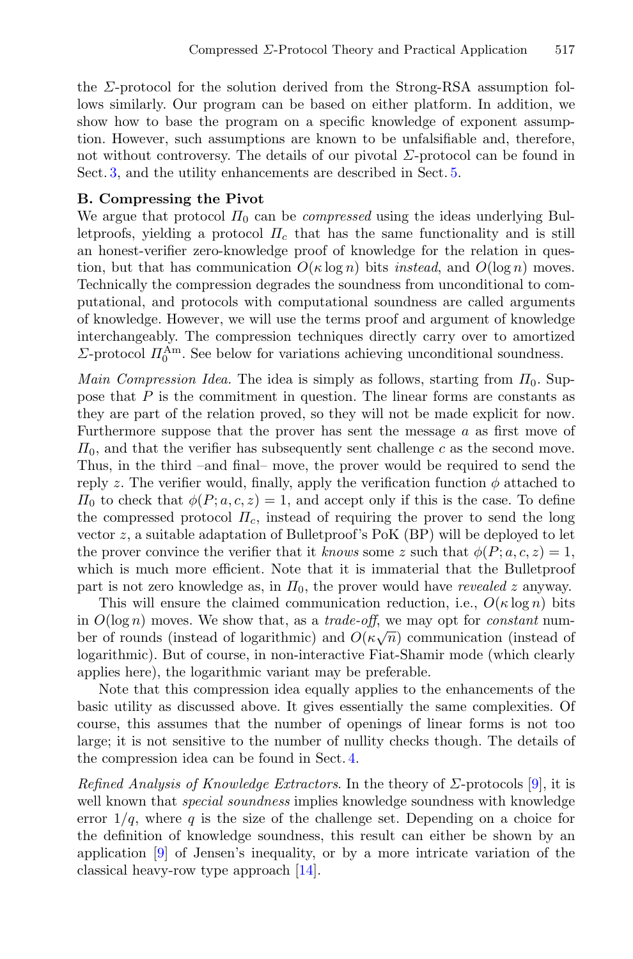the  $\Sigma$ -protocol for the solution derived from the Strong-RSA assumption follows similarly. Our program can be based on either platform. In addition, we show how to base the program on a specific knowledge of exponent assumption. However, such assumptions are known to be unfalsifiable and, therefore, not without controversy. The details of our pivotal  $\Sigma$ -protocol can be found in Sect. [3,](#page-12-0) and the utility enhancements are described in Sect. [5.](#page-18-0)

### **B. Compressing the Pivot**

We argue that protocol  $\Pi_0$  can be *compressed* using the ideas underlying Bulletproofs, yielding a protocol  $\Pi_c$  that has the same functionality and is still an honest-verifier zero-knowledge proof of knowledge for the relation in question, but that has communication  $O(\kappa \log n)$  bits *instead*, and  $O(\log n)$  moves. Technically the compression degrades the soundness from unconditional to computational, and protocols with computational soundness are called arguments of knowledge. However, we will use the terms proof and argument of knowledge interchangeably. The compression techniques directly carry over to amortized  $\Sigma$ -protocol  $\Pi_0^{\text{Am}}$ . See below for variations achieving unconditional soundness.

*Main Compression Idea.* The idea is simply as follows, starting from  $\Pi_0$ . Suppose that  $P$  is the commitment in question. The linear forms are constants as they are part of the relation proved, so they will not be made explicit for now. Furthermore suppose that the prover has sent the message  $a$  as first move of  $\Pi_0$ , and that the verifier has subsequently sent challenge c as the second move. Thus, in the third –and final– move, the prover would be required to send the reply z. The verifier would, finally, apply the verification function  $\phi$  attached to  $\Pi_0$  to check that  $\phi(P; a, c, z) = 1$ , and accept only if this is the case. To define the compressed protocol  $\Pi_c$ , instead of requiring the prover to send the long vector  $z$ , a suitable adaptation of Bulletproof's PoK (BP) will be deployed to let the prover convince the verifier that it *knows* some z such that  $\phi(P; a, c, z) = 1$ , which is much more efficient. Note that it is immaterial that the Bulletproof part is not zero knowledge as, in  $\Pi_0$ , the prover would have *revealed* z anyway.

This will ensure the claimed communication reduction, i.e.,  $O(\kappa \log n)$  bits in O(log n) moves. We show that, as a *trade-off*, we may opt for *constant* number of rounds (instead of logarithmic) and  $O(\kappa \sqrt{n})$  communication (instead of logarithmic). But of course in non-interactive Fiat-Shamir mode (which clearly logarithmic). But of course, in non-interactive Fiat-Shamir mode (which clearly applies here), the logarithmic variant may be preferable.

Note that this compression idea equally applies to the enhancements of the basic utility as discussed above. It gives essentially the same complexities. Of course, this assumes that the number of openings of linear forms is not too large; it is not sensitive to the number of nullity checks though. The details of the compression idea can be found in Sect. [4.](#page-14-0)

*Refined Analysis of Knowledge Extractors*. In the theory of Σ-protocols [\[9](#page-29-5)], it is well known that *special soundness* implies knowledge soundness with knowledge error  $1/q$ , where q is the size of the challenge set. Depending on a choice for the definition of knowledge soundness, this result can either be shown by an application [\[9](#page-29-5)] of Jensen's inequality, or by a more intricate variation of the classical heavy-row type approach [\[14\]](#page-29-6).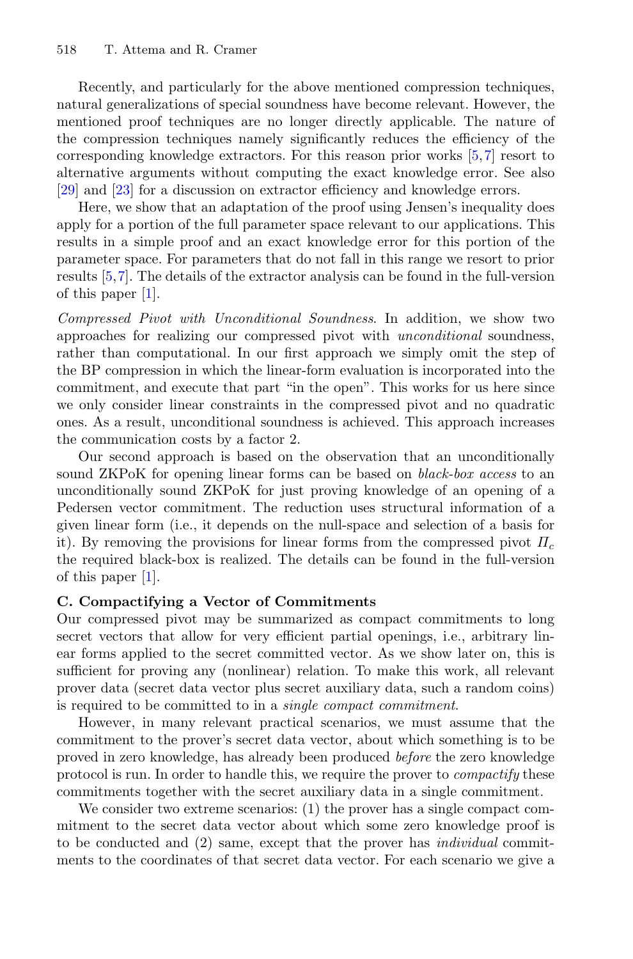Recently, and particularly for the above mentioned compression techniques, natural generalizations of special soundness have become relevant. However, the mentioned proof techniques are no longer directly applicable. The nature of the compression techniques namely significantly reduces the efficiency of the corresponding knowledge extractors. For this reason prior works [\[5,](#page-29-0)[7](#page-29-1)] resort to alternative arguments without computing the exact knowledge error. See also [\[29](#page-30-0)] and [\[23](#page-30-1)] for a discussion on extractor efficiency and knowledge errors.

Here, we show that an adaptation of the proof using Jensen's inequality does apply for a portion of the full parameter space relevant to our applications. This results in a simple proof and an exact knowledge error for this portion of the parameter space. For parameters that do not fall in this range we resort to prior results [\[5](#page-29-0),[7\]](#page-29-1). The details of the extractor analysis can be found in the full-version of this paper [\[1\]](#page-28-0).

*Compressed Pivot with Unconditional Soundness*. In addition, we show two approaches for realizing our compressed pivot with *unconditional* soundness, rather than computational. In our first approach we simply omit the step of the BP compression in which the linear-form evaluation is incorporated into the commitment, and execute that part "in the open". This works for us here since we only consider linear constraints in the compressed pivot and no quadratic ones. As a result, unconditional soundness is achieved. This approach increases the communication costs by a factor 2.

Our second approach is based on the observation that an unconditionally sound ZKPoK for opening linear forms can be based on *black-box access* to an unconditionally sound ZKPoK for just proving knowledge of an opening of a Pedersen vector commitment. The reduction uses structural information of a given linear form (i.e., it depends on the null-space and selection of a basis for it). By removing the provisions for linear forms from the compressed pivot  $\Pi_c$ the required black-box is realized. The details can be found in the full-version of this paper [\[1\]](#page-28-0).

#### **C. Compactifying a Vector of Commitments**

Our compressed pivot may be summarized as compact commitments to long secret vectors that allow for very efficient partial openings, i.e., arbitrary linear forms applied to the secret committed vector. As we show later on, this is sufficient for proving any (nonlinear) relation. To make this work, all relevant prover data (secret data vector plus secret auxiliary data, such a random coins) is required to be committed to in a *single compact commitment*.

However, in many relevant practical scenarios, we must assume that the commitment to the prover's secret data vector, about which something is to be proved in zero knowledge, has already been produced *before* the zero knowledge protocol is run. In order to handle this, we require the prover to *compactify* these commitments together with the secret auxiliary data in a single commitment.

We consider two extreme scenarios: (1) the prover has a single compact commitment to the secret data vector about which some zero knowledge proof is to be conducted and (2) same, except that the prover has *individual* commitments to the coordinates of that secret data vector. For each scenario we give a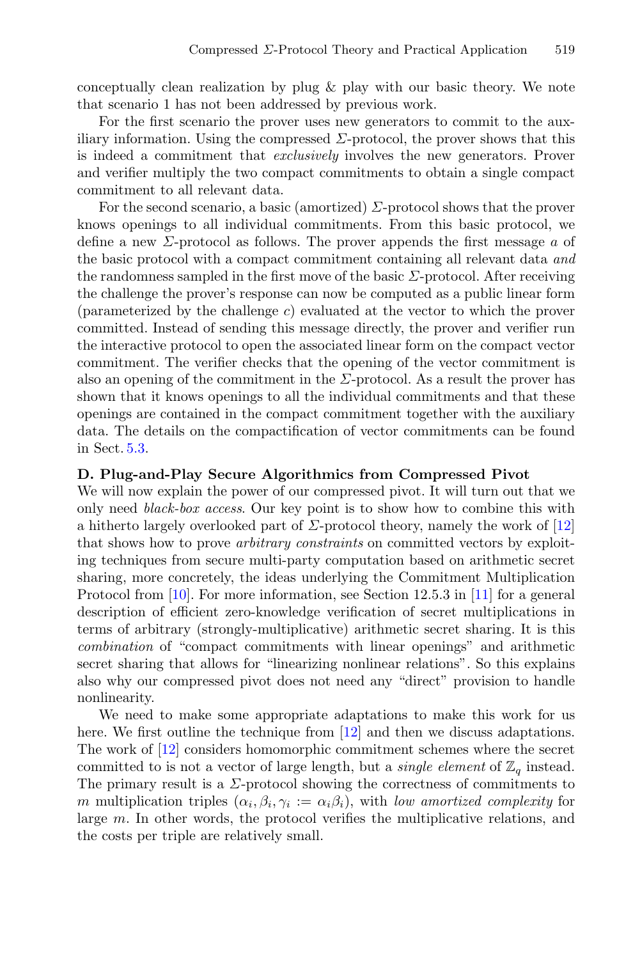conceptually clean realization by plug & play with our basic theory. We note that scenario 1 has not been addressed by previous work.

For the first scenario the prover uses new generators to commit to the auxiliary information. Using the compressed  $\Sigma$ -protocol, the prover shows that this is indeed a commitment that *exclusively* involves the new generators. Prover and verifier multiply the two compact commitments to obtain a single compact commitment to all relevant data.

For the second scenario, a basic (amortized)  $\Sigma$ -protocol shows that the prover knows openings to all individual commitments. From this basic protocol, we define a new  $\Sigma$ -protocol as follows. The prover appends the first message a of the basic protocol with a compact commitment containing all relevant data *and* the randomness sampled in the first move of the basic  $\Sigma$ -protocol. After receiving the challenge the prover's response can now be computed as a public linear form (parameterized by the challenge  $c$ ) evaluated at the vector to which the prover committed. Instead of sending this message directly, the prover and verifier run the interactive protocol to open the associated linear form on the compact vector commitment. The verifier checks that the opening of the vector commitment is also an opening of the commitment in the  $\Sigma$ -protocol. As a result the prover has shown that it knows openings to all the individual commitments and that these openings are contained in the compact commitment together with the auxiliary data. The details on the compactification of vector commitments can be found in Sect. [5.3.](#page-20-0)

#### **D. Plug-and-Play Secure Algorithmics from Compressed Pivot**

We will now explain the power of our compressed pivot. It will turn out that we only need *black-box access*. Our key point is to show how to combine this with a hitherto largely overlooked part of  $\Sigma$ -protocol theory, namely the work of [\[12\]](#page-29-3) that shows how to prove *arbitrary constraints* on committed vectors by exploiting techniques from secure multi-party computation based on arithmetic secret sharing, more concretely, the ideas underlying the Commitment Multiplication Protocol from [\[10\]](#page-29-7). For more information, see Section 12.5.3 in [\[11\]](#page-29-8) for a general description of efficient zero-knowledge verification of secret multiplications in terms of arbitrary (strongly-multiplicative) arithmetic secret sharing. It is this *combination* of "compact commitments with linear openings" and arithmetic secret sharing that allows for "linearizing nonlinear relations". So this explains also why our compressed pivot does not need any "direct" provision to handle nonlinearity.

We need to make some appropriate adaptations to make this work for us here. We first outline the technique from [\[12](#page-29-3)] and then we discuss adaptations. The work of [\[12](#page-29-3)] considers homomorphic commitment schemes where the secret committed to is not a vector of large length, but a *single element* of  $\mathbb{Z}_q$  instead. The primary result is a  $\Sigma$ -protocol showing the correctness of commitments to m multiplication triples  $(\alpha_i, \beta_i, \gamma_i) := \alpha_i \beta_i$ , with *low amortized complexity* for large m. In other words, the protocol verifies the multiplicative relations, and the costs per triple are relatively small.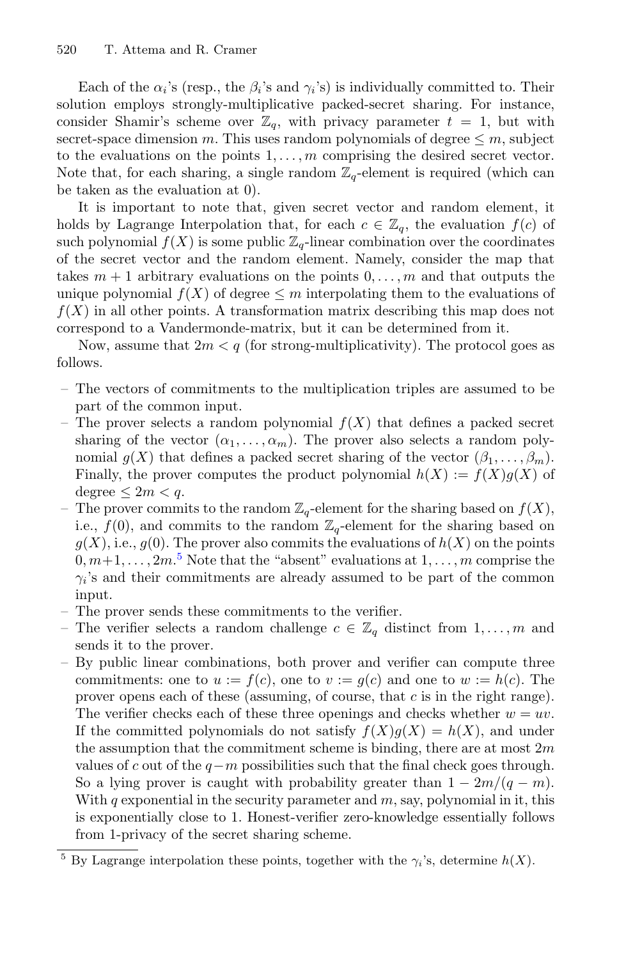Each of the  $\alpha_i$ 's (resp., the  $\beta_i$ 's and  $\gamma_i$ 's) is individually committed to. Their solution employs strongly-multiplicative packed-secret sharing. For instance, consider Shamir's scheme over  $\mathbb{Z}_q$ , with privacy parameter  $t = 1$ , but with secret-space dimension m. This uses random polynomials of degree  $\leq m$ , subject to the evaluations on the points  $1, \ldots, m$  comprising the desired secret vector. Note that, for each sharing, a single random  $\mathbb{Z}_q$ -element is required (which can be taken as the evaluation at 0).

It is important to note that, given secret vector and random element, it holds by Lagrange Interpolation that, for each  $c \in \mathbb{Z}_q$ , the evaluation  $f(c)$  of such polynomial  $f(X)$  is some public  $\mathbb{Z}_q$ -linear combination over the coordinates of the secret vector and the random element. Namely, consider the map that takes  $m + 1$  arbitrary evaluations on the points  $0, \ldots, m$  and that outputs the unique polynomial  $f(X)$  of degree  $\leq m$  interpolating them to the evaluations of  $f(X)$  in all other points. A transformation matrix describing this map does not correspond to a Vandermonde-matrix, but it can be determined from it.

Now, assume that  $2m < q$  (for strong-multiplicativity). The protocol goes as follows.

- The vectors of commitments to the multiplication triples are assumed to be part of the common input.
- The prover selects a random polynomial  $f(X)$  that defines a packed secret sharing of the vector  $(\alpha_1,\ldots,\alpha_m)$ . The prover also selects a random polynomial  $g(X)$  that defines a packed secret sharing of the vector  $(\beta_1,\ldots,\beta_m)$ . Finally, the prover computes the product polynomial  $h(X) := f(X)q(X)$  of degree  $\leq 2m < q$ .
- The prover commits to the random  $\mathbb{Z}_q$ -element for the sharing based on  $f(X)$ , i.e.,  $f(0)$ , and commits to the random  $\mathbb{Z}_q$ -element for the sharing based on  $g(X)$ , i.e.,  $g(0)$ . The prover also commits the evaluations of  $h(X)$  on the points  $0, m+1, \ldots, 2m$ <sup>[5](#page-7-0)</sup>. Note that the "absent" evaluations at  $1, \ldots, m$  comprise the  $\infty$ .  $\gamma_i$ 's and their commitments are already assumed to be part of the common input.
- The prover sends these commitments to the verifier.
- The verifier selects a random challenge  $c \in \mathbb{Z}_q$  distinct from  $1,\ldots,m$  and sends it to the prover.
- By public linear combinations, both prover and verifier can compute three commitments: one to  $u := f(c)$ , one to  $v := g(c)$  and one to  $w := h(c)$ . The prover opens each of these (assuming, of course, that  $c$  is in the right range). The verifier checks each of these three openings and checks whether  $w = uv$ . If the committed polynomials do not satisfy  $f(X)g(X) = h(X)$ , and under the assumption that the commitment scheme is binding, there are at most  $2m$ values of c out of the  $q-m$  possibilities such that the final check goes through. So a lying prover is caught with probability greater than  $1 - 2m/(q - m)$ . With q exponential in the security parameter and  $m$ , say, polynomial in it, this is exponentially close to 1. Honest-verifier zero-knowledge essentially follows from 1-privacy of the secret sharing scheme.

<span id="page-7-0"></span><sup>&</sup>lt;sup>5</sup> By Lagrange interpolation these points, together with the  $\gamma_i$ 's, determine  $h(X)$ .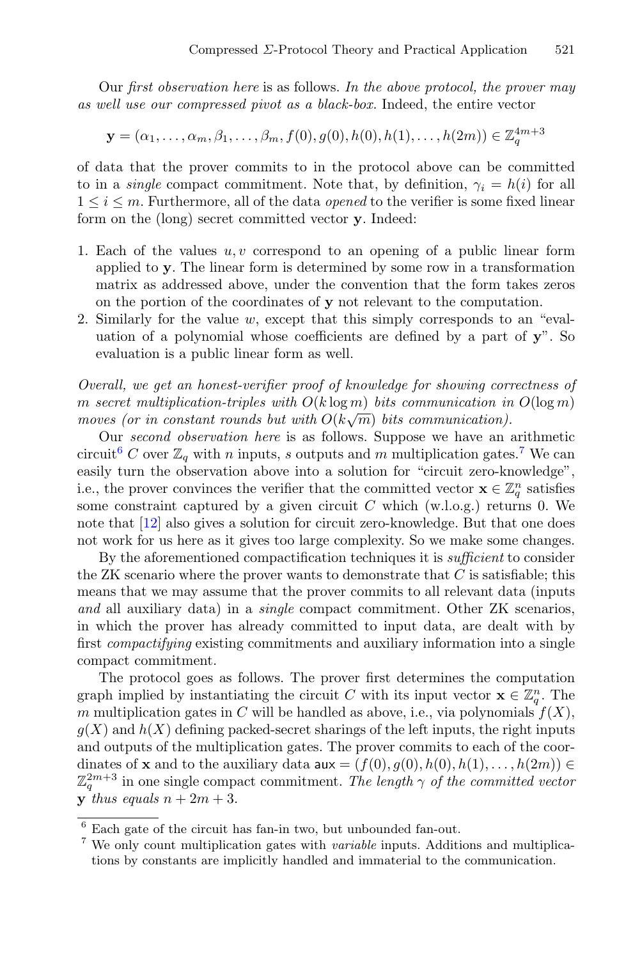Our *first observation here* is as follows. *In the above protocol, the prover may as well use our compressed pivot as a black-box.* Indeed, the entire vector

$$
\mathbf{y} = (\alpha_1, \dots, \alpha_m, \beta_1, \dots, \beta_m, f(0), g(0), h(0), h(1), \dots, h(2m)) \in \mathbb{Z}_q^{4m+3}
$$

of data that the prover commits to in the protocol above can be committed to in a *single* compact commitment. Note that, by definition,  $\gamma_i = h(i)$  for all  $1 \leq i \leq m$ . Furthermore, all of the data *opened* to the verifier is some fixed linear form on the (long) secret committed vector **y**. Indeed:

- 1. Each of the values  $u, v$  correspond to an opening of a public linear form applied to **y**. The linear form is determined by some row in a transformation matrix as addressed above, under the convention that the form takes zeros on the portion of the coordinates of **y** not relevant to the computation.
- 2. Similarly for the value  $w$ , except that this simply corresponds to an "evaluation of a polynomial whose coefficients are defined by a part of **y**". So evaluation is a public linear form as well.

*Overall, we get an honest-verifier proof of knowledge for showing correctness of* m *secret multiplication-triples with*  $O(k \log m)$  *bits communication in*  $O(\log m)$ *moves (or in constant rounds but with*  $O(k\sqrt{m})$  *bits communication)*.<br>Our *second observation here* is as follows. Suppose we have an

Our *second observation here* is as follows. Suppose we have an arithmetic circuit<sup>[6](#page-8-0)</sup> C over  $\mathbb{Z}_q$  with n inputs, s outputs and m multiplication gates.<sup>[7](#page-8-1)</sup> We can easily turn the observation above into a solution for "circuit zero-knowledge", i.e., the prover convinces the verifier that the committed vector  $\mathbf{x} \in \mathbb{Z}_q^n$  satisfies some constraint captured by a given circuit  $C$  which (w.l.o.g.) returns 0. We note that [\[12](#page-29-3)] also gives a solution for circuit zero-knowledge. But that one does not work for us here as it gives too large complexity. So we make some changes.

By the aforementioned compactification techniques it is *sufficient* to consider the ZK scenario where the prover wants to demonstrate that  $C$  is satisfiable; this means that we may assume that the prover commits to all relevant data (inputs *and* all auxiliary data) in a *single* compact commitment. Other ZK scenarios, in which the prover has already committed to input data, are dealt with by first *compactifying* existing commitments and auxiliary information into a single compact commitment.

The protocol goes as follows. The prover first determines the computation graph implied by instantiating the circuit C with its input vector  $\mathbf{x} \in \mathbb{Z}_q^n$ . The m multiplication gates in C will be handled as above i.e., via polynomials  $f(X)$ m multiplication gates in C will be handled as above, i.e., via polynomials  $f(X)$ ,  $g(X)$  and  $h(X)$  defining packed-secret sharings of the left inputs, the right inputs and outputs of the multiplication gates. The prover commits to each of the coordinates of **x** and to the auxiliary data aux =  $(f(0), g(0), h(0), h(1), \ldots, h(2m)) \in$  $\mathbb{Z}_a^{2m+3}$  in one single compact commitment. The length  $\gamma$  of the committed vector **y** *thus equals*  $n + 2m + 3$ .

<span id="page-8-0"></span>Each gate of the circuit has fan-in two, but unbounded fan-out.

<span id="page-8-1"></span><sup>7</sup> We only count multiplication gates with *variable* inputs. Additions and multiplications by constants are implicitly handled and immaterial to the communication.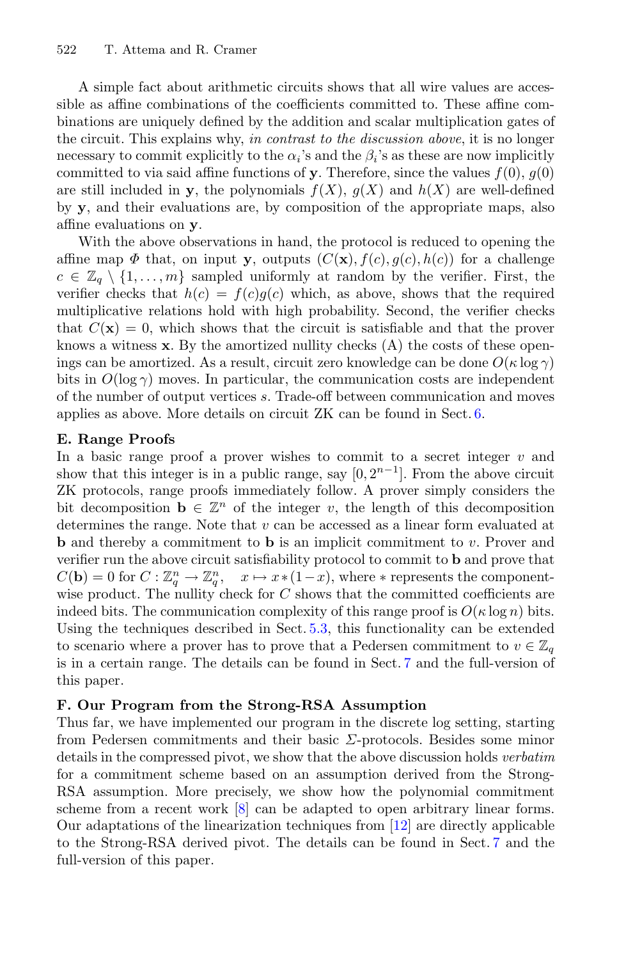A simple fact about arithmetic circuits shows that all wire values are accessible as affine combinations of the coefficients committed to. These affine combinations are uniquely defined by the addition and scalar multiplication gates of the circuit. This explains why, *in contrast to the discussion above*, it is no longer necessary to commit explicitly to the  $\alpha_i$ 's and the  $\beta_i$ 's as these are now implicitly committed to via said affine functions of **y**. Therefore, since the values  $f(0), g(0)$ are still included in **y**, the polynomials  $f(X)$ ,  $g(X)$  and  $h(X)$  are well-defined by **y**, and their evaluations are, by composition of the appropriate maps, also affine evaluations on **y**.

With the above observations in hand, the protocol is reduced to opening the affine map  $\Phi$  that, on input **y**, outputs  $(C(\mathbf{x}), f(c), q(c), h(c))$  for a challenge  $c \in \mathbb{Z}_q \setminus \{1,\ldots,m\}$  sampled uniformly at random by the verifier. First, the verifier checks that  $h(c) = f(c)g(c)$  which, as above, shows that the required multiplicative relations hold with high probability. Second, the verifier checks that  $C(\mathbf{x}) = 0$ , which shows that the circuit is satisfiable and that the prover knows a witness **x**. By the amortized nullity checks (A) the costs of these openings can be amortized. As a result, circuit zero knowledge can be done  $O(\kappa \log \gamma)$ bits in  $O(\log \gamma)$  moves. In particular, the communication costs are independent of the number of output vertices s. Trade-off between communication and moves applies as above. More details on circuit ZK can be found in Sect. [6.](#page-21-0)

### **E. Range Proofs**

In a basic range proof a prover wishes to commit to a secret integer  $v$  and show that this integer is in a public range, say  $[0, 2^{n-1}]$ . From the above circuit ZK protocols, range proofs immediately follow. A prover simply considers the bit decomposition **b**  $\in \mathbb{Z}^n$  of the integer v, the length of this decomposition determines the range. Note that  $v$  can be accessed as a linear form evaluated at **<sup>b</sup>** and thereby a commitment to **<sup>b</sup>** is an implicit commitment to v. Prover and verifier run the above circuit satisfiability protocol to commit to **b** and prove that  $C(\mathbf{b}) = 0$  for  $C : \mathbb{Z}_q^n \to \mathbb{Z}_q^n$ ,  $x \mapsto x * (1-x)$ , where  $*$  represents the component-<br>wise product. The pullity check for C shows that the committed coefficients are wise product. The nullity check for  $C$  shows that the committed coefficients are indeed bits. The communication complexity of this range proof is  $O(\kappa \log n)$  bits. Using the techniques described in Sect. [5.3,](#page-20-0) this functionality can be extended to scenario where a prover has to prove that a Pedersen commitment to  $v \in \mathbb{Z}_q$ is in a certain range. The details can be found in Sect. [7](#page-26-0) and the full-version of this paper.

### **F. Our Program from the Strong-RSA Assumption**

Thus far, we have implemented our program in the discrete log setting, starting from Pedersen commitments and their basic Σ-protocols. Besides some minor details in the compressed pivot, we show that the above discussion holds *verbatim* for a commitment scheme based on an assumption derived from the Strong-RSA assumption. More precisely, we show how the polynomial commitment scheme from a recent work [\[8](#page-29-4)] can be adapted to open arbitrary linear forms. Our adaptations of the linearization techniques from [\[12](#page-29-3)] are directly applicable to the Strong-RSA derived pivot. The details can be found in Sect. [7](#page-26-0) and the full-version of this paper.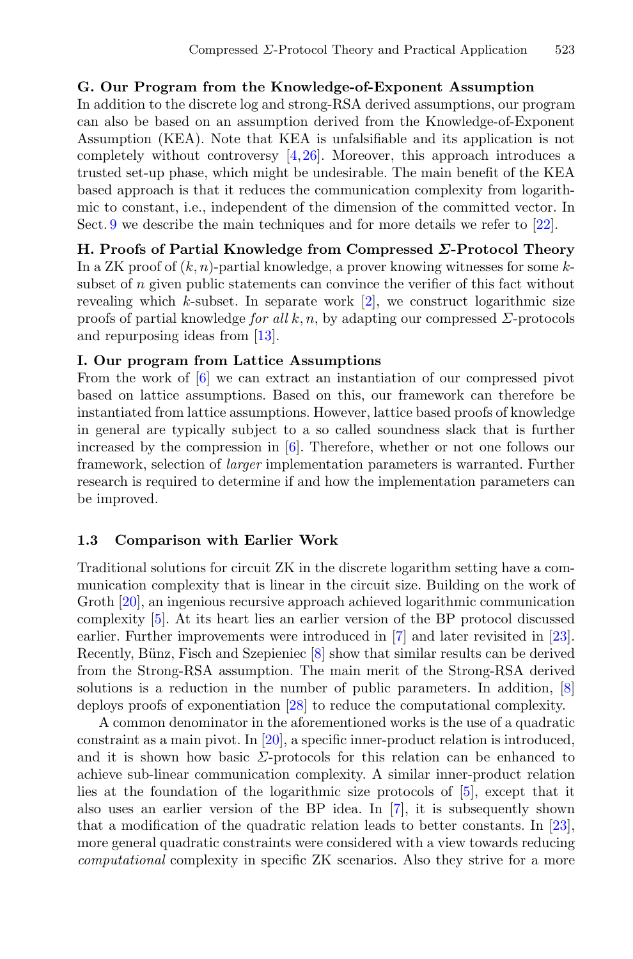### **G. Our Program from the Knowledge-of-Exponent Assumption**

In addition to the discrete log and strong-RSA derived assumptions, our program can also be based on an assumption derived from the Knowledge-of-Exponent Assumption (KEA). Note that KEA is unfalsifiable and its application is not completely without controversy [\[4](#page-28-1)[,26](#page-30-2)]. Moreover, this approach introduces a trusted set-up phase, which might be undesirable. The main benefit of the KEA based approach is that it reduces the communication complexity from logarithmic to constant, i.e., independent of the dimension of the committed vector. In Sect. [9](#page-27-0) we describe the main techniques and for more details we refer to [\[22](#page-30-3)].

**H. Proofs of Partial Knowledge from Compressed** *Σ***-Protocol Theory** In a ZK proof of  $(k, n)$ -partial knowledge, a prover knowing witnesses for some ksubset of n given public statements can convince the verifier of this fact without revealing which  $k$ -subset. In separate work  $[2]$  $[2]$ , we construct logarithmic size proofs of partial knowledge *for all* k, n, by adapting our compressed  $\Sigma$ -protocols and repurposing ideas from [\[13\]](#page-29-9).

### **I. Our program from Lattice Assumptions**

From the work of [\[6](#page-29-10)] we can extract an instantiation of our compressed pivot based on lattice assumptions. Based on this, our framework can therefore be instantiated from lattice assumptions. However, lattice based proofs of knowledge in general are typically subject to a so called soundness slack that is further increased by the compression in [\[6\]](#page-29-10). Therefore, whether or not one follows our framework, selection of *larger* implementation parameters is warranted. Further research is required to determine if and how the implementation parameters can be improved.

### **1.3 Comparison with Earlier Work**

Traditional solutions for circuit ZK in the discrete logarithm setting have a communication complexity that is linear in the circuit size. Building on the work of Groth [\[20\]](#page-29-11), an ingenious recursive approach achieved logarithmic communication complexity [\[5](#page-29-0)]. At its heart lies an earlier version of the BP protocol discussed earlier. Further improvements were introduced in [\[7\]](#page-29-1) and later revisited in [\[23\]](#page-30-1). Recently, Bünz, Fisch and Szepieniec [\[8](#page-29-4)] show that similar results can be derived from the Strong-RSA assumption. The main merit of the Strong-RSA derived solutions is a reduction in the number of public parameters. In addition,  $[8]$ deploys proofs of exponentiation [\[28\]](#page-30-4) to reduce the computational complexity.

A common denominator in the aforementioned works is the use of a quadratic constraint as a main pivot. In [\[20](#page-29-11)], a specific inner-product relation is introduced, and it is shown how basic  $\Sigma$ -protocols for this relation can be enhanced to achieve sub-linear communication complexity. A similar inner-product relation lies at the foundation of the logarithmic size protocols of [\[5\]](#page-29-0), except that it also uses an earlier version of the BP idea. In [\[7](#page-29-1)], it is subsequently shown that a modification of the quadratic relation leads to better constants. In [\[23\]](#page-30-1), more general quadratic constraints were considered with a view towards reducing *computational* complexity in specific ZK scenarios. Also they strive for a more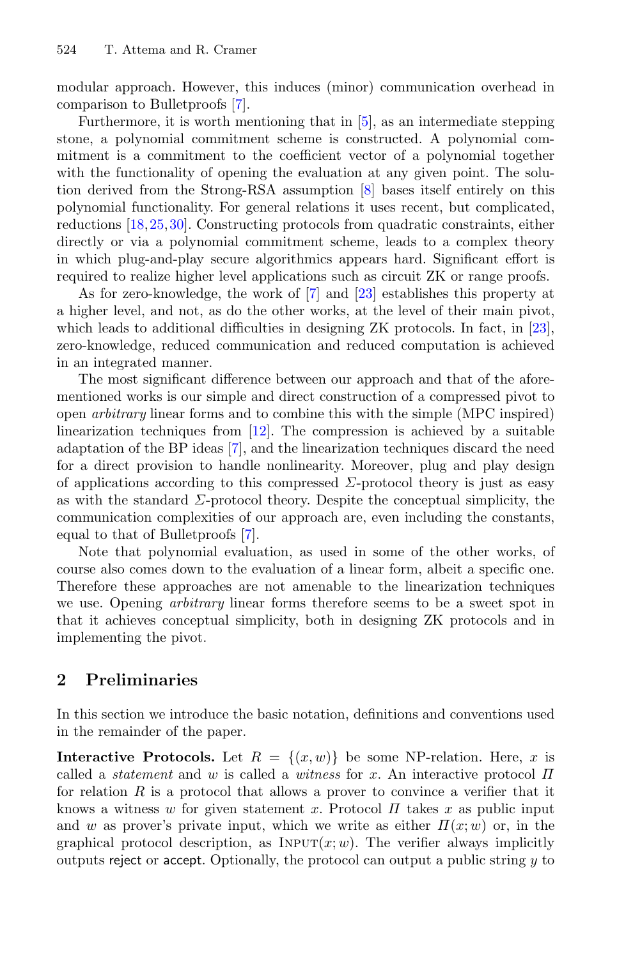modular approach. However, this induces (minor) communication overhead in comparison to Bulletproofs [\[7](#page-29-1)].

Furthermore, it is worth mentioning that in  $[5]$ , as an intermediate stepping stone, a polynomial commitment scheme is constructed. A polynomial commitment is a commitment to the coefficient vector of a polynomial together with the functionality of opening the evaluation at any given point. The solution derived from the Strong-RSA assumption [\[8\]](#page-29-4) bases itself entirely on this polynomial functionality. For general relations it uses recent, but complicated, reductions [\[18](#page-29-12)[,25,](#page-30-5)[30\]](#page-30-6). Constructing protocols from quadratic constraints, either directly or via a polynomial commitment scheme, leads to a complex theory in which plug-and-play secure algorithmics appears hard. Significant effort is required to realize higher level applications such as circuit ZK or range proofs.

As for zero-knowledge, the work of [\[7\]](#page-29-1) and [\[23\]](#page-30-1) establishes this property at a higher level, and not, as do the other works, at the level of their main pivot, which leads to additional difficulties in designing ZK protocols. In fact, in [\[23\]](#page-30-1), zero-knowledge, reduced communication and reduced computation is achieved in an integrated manner.

The most significant difference between our approach and that of the aforementioned works is our simple and direct construction of a compressed pivot to open *arbitrary* linear forms and to combine this with the simple (MPC inspired) linearization techniques from  $[12]$  $[12]$ . The compression is achieved by a suitable adaptation of the BP ideas [\[7\]](#page-29-1), and the linearization techniques discard the need for a direct provision to handle nonlinearity. Moreover, plug and play design of applications according to this compressed  $\Sigma$ -protocol theory is just as easy as with the standard  $\Sigma$ -protocol theory. Despite the conceptual simplicity, the communication complexities of our approach are, even including the constants, equal to that of Bulletproofs [\[7\]](#page-29-1).

Note that polynomial evaluation, as used in some of the other works, of course also comes down to the evaluation of a linear form, albeit a specific one. Therefore these approaches are not amenable to the linearization techniques we use. Opening *arbitrary* linear forms therefore seems to be a sweet spot in that it achieves conceptual simplicity, both in designing ZK protocols and in implementing the pivot.

### **2 Preliminaries**

In this section we introduce the basic notation, definitions and conventions used in the remainder of the paper.

**Interactive Protocols.** Let  $R = \{(x, w)\}\)$  be some NP-relation. Here, x is called a *statement* and w is called a *witness* for x. An interactive protocol Π for relation  $R$  is a protocol that allows a prover to convince a verifier that it knows a witness w for given statement x. Protocol  $\Pi$  takes x as public input and w as prover's private input, which we write as either  $\Pi(x; w)$  or, in the graphical protocol description, as  $INPUT(x; w)$ . The verifier always implicitly outputs reject or accept. Optionally, the protocol can output a public string  $y$  to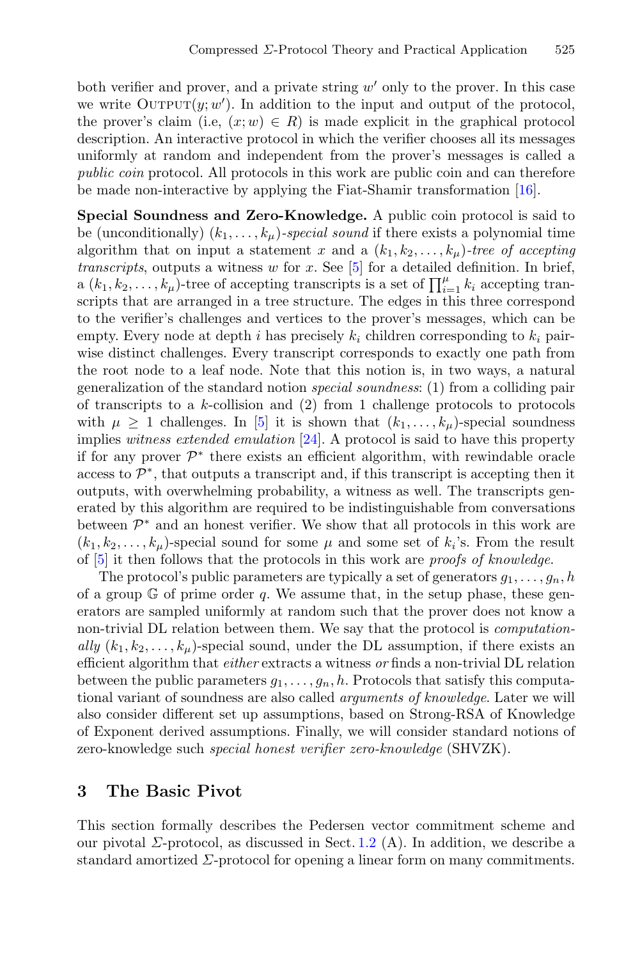both verifier and prover, and a private string  $w'$  only to the prover. In this case we write  $\text{OUTPUT}(y; w')$ . In addition to the input and output of the protocol,<br>the prover's claim (i.e.  $(x, w) \in R$ ) is made explicit in the graphical protocol the prover's claim (i.e,  $(x; w) \in R$ ) is made explicit in the graphical protocol description. An interactive protocol in which the verifier chooses all its messages uniformly at random and independent from the prover's messages is called a *public coin* protocol. All protocols in this work are public coin and can therefore be made non-interactive by applying the Fiat-Shamir transformation [\[16](#page-29-2)].

**Special Soundness and Zero-Knowledge.** A public coin protocol is said to be (unconditionally)  $(k_1, \ldots, k_\mu)$ -special sound if there exists a polynomial time algorithm that on input a statement x and a  $(k_1, k_2, \ldots, k_\mu)$ *-tree of accepting transcripts*, outputs a witness w for x. See [5] for a detailed definition. In brief, *transcripts*, outputs a witness w for x. See [\[5\]](#page-29-0) for a detailed definition. In brief,  $\mathbf{a}(k_1, k_2, \ldots, k_n)$ -tree of accepting transcripts is a set of  $\prod_{i=1}^{n} k_i$  accepting trans a  $(k_1, k_2, \ldots, k_{\mu})$ -tree of accepting transcripts is a set of  $\prod_{i=1}^{\mu} k_i$  accepting transcripts that are arranged in a tree structure. The edges in this three correspond scripts that are arranged in a tree structure. The edges in this three correspond to the verifier's challenges and vertices to the prover's messages, which can be empty. Every node at depth i has precisely  $k_i$  children corresponding to  $k_i$  pairwise distinct challenges. Every transcript corresponds to exactly one path from the root node to a leaf node. Note that this notion is, in two ways, a natural generalization of the standard notion *special soundness*: (1) from a colliding pair of transcripts to a  $k$ -collision and (2) from 1 challenge protocols to protocols with  $\mu \geq 1$  challenges. In [\[5\]](#page-29-0) it is shown that  $(k_1,\ldots,k_\mu)$ -special soundness implies *witness extended emulation* [\[24](#page-30-7)]. A protocol is said to have this property if for any prover  $\mathcal{P}^*$  there exists an efficient algorithm, with rewindable oracle access to  $\mathcal{P}^*$ , that outputs a transcript and, if this transcript is accepting then it outputs, with overwhelming probability, a witness as well. The transcripts generated by this algorithm are required to be indistinguishable from conversations between  $\mathcal{P}^*$  and an honest verifier. We show that all protocols in this work are  $(k_1, k_2, \ldots, k_\mu)$ -special sound for some  $\mu$  and some set of  $k_i$ 's. From the result of [\[5\]](#page-29-0) it then follows that the protocols in this work are *proofs of knowledge*.

The protocol's public parameters are typically a set of generators  $g_1, \ldots, g_n, h$ of a group  $\mathbb G$  of prime order q. We assume that, in the setup phase, these generators are sampled uniformly at random such that the prover does not know a non-trivial DL relation between them. We say that the protocol is *computationally*  $(k_1, k_2, \ldots, k_\mu)$ -special sound, under the DL assumption, if there exists an efficient algorithm that *either* extracts a witness *or* finds a non-trivial DL relation between the public parameters  $g_1, \ldots, g_n, h$ . Protocols that satisfy this computational variant of soundness are also called *arguments of knowledge*. Later we will also consider different set up assumptions, based on Strong-RSA of Knowledge of Exponent derived assumptions. Finally, we will consider standard notions of zero-knowledge such *special honest verifier zero-knowledge* (SHVZK).

### <span id="page-12-0"></span>**3 The Basic Pivot**

This section formally describes the Pedersen vector commitment scheme and our pivotal  $\Sigma$ -protocol, as discussed in Sect. [1.2](#page-3-1) (A). In addition, we describe a standard amortized Σ-protocol for opening a linear form on many commitments.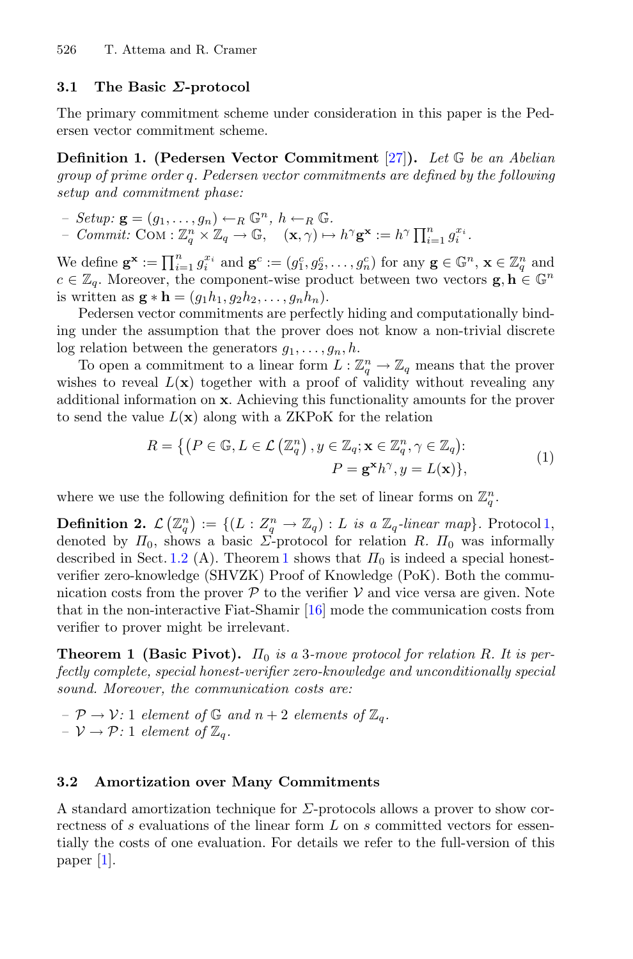#### **3.1 The Basic** *Σ***-protocol**

The primary commitment scheme under consideration in this paper is the Pedersen vector commitment scheme.

**Definition 1. (Pedersen Vector Commitment** [\[27\]](#page-30-8)**).** *Let* G *be an Abelian group of prime order* q*. Pedersen vector commitments are defined by the following setup and commitment phase:*

 $P = Setup: \mathbf{g} = (g_1, \ldots, g_n) \leftarrow_R \mathbb{G}^n, \quad h \leftarrow_R \mathbb{G}.$ <br>  $P = Commit: \text{COM} : \mathbb{Z}_q^n \times \mathbb{Z}_q \to \mathbb{G}, \quad (\mathbf{x}, \gamma) \mapsto h^{\gamma} \mathbf{g}^{\mathbf{x}} := h^{\gamma} \prod_{i=1}^n g_i^{x_i}.$ 

We define  $\mathbf{g}^{\mathbf{x}} := \prod_{i=1}^{n} g_i^{x_i}$  and  $\mathbf{g}^c := (g_1^c, g_2^c, \dots, g_n^c)$  for any  $\mathbf{g} \in \mathbb{G}^n$ ,  $\mathbf{x} \in \mathbb{Z}_q^n$  and  $c \in \mathbb{Z}$ . Moreover, the component-wise product between two vectors  $\mathbf{g} \in \mathbb{G}^n$  $c \in \mathbb{Z}_q$ . Moreover, the component-wise product between two vectors **g**, **h**  $\in \mathbb{G}^n$ <br>is written as  $\boldsymbol{\sigma} * \boldsymbol{h} = (a_1b_1, a_2b_2, a_3b_4)$ is written as  $\mathbf{g} * \mathbf{h} = (g_1h_1, g_2h_2, \ldots, g_nh_n).$ 

Pedersen vector commitments are perfectly hiding and computationally binding under the assumption that the prover does not know a non-trivial discrete log relation between the generators  $g_1, \ldots, g_n, h$ .

To open a commitment to a linear form  $L: \mathbb{Z}_q^n \to \mathbb{Z}_q$  means that the prover<br>hes to reveal  $L(\mathbf{x})$  together with a proof of validity without revealing any wishes to reveal  $L(\mathbf{x})$  together with a proof of validity without revealing any additional information on **x**. Achieving this functionality amounts for the prover to send the value  $L(\mathbf{x})$  along with a ZKPoK for the relation

$$
R = \left\{ \left( P \in \mathbb{G}, L \in \mathcal{L} \left( \mathbb{Z}_q^n \right), y \in \mathbb{Z}_q; \mathbf{x} \in \mathbb{Z}_q^n, \gamma \in \mathbb{Z}_q \right) : \right. \\ \left. P = \mathbf{g}^{\mathbf{x}} h^\gamma, y = L(\mathbf{x}) \right\},\tag{1}
$$

where we use the following definition for the set of linear forms on  $\mathbb{Z}_q^n$ .

**Definition 2.**  $\mathcal{L}(\mathbb{Z}_q^n) := \{ (L : Z_q^n \to \mathbb{Z}_q) : L \text{ is a } \mathbb{Z}_q\text{-linear map} \}$ . Protocol [1,](#page-14-1) denoted by  $H_0$  shows a basic  $\Sigma$ -protocol for relation  $R$ ,  $H_0$  was informally denoted by  $\Pi_0$ , shows a basic  $\Sigma$ -protocol for relation R.  $\Pi_0$  was informally described in Sect. [1.2](#page-3-1) (A). Theorem [1](#page-13-0) shows that  $\Pi_0$  is indeed a special honestverifier zero-knowledge (SHVZK) Proof of Knowledge (PoK). Both the communication costs from the prover  $P$  to the verifier  $V$  and vice versa are given. Note that in the non-interactive Fiat-Shamir [\[16\]](#page-29-2) mode the communication costs from verifier to prover might be irrelevant.

<span id="page-13-0"></span>**Theorem 1 (Basic Pivot).**  $\Pi_0$  is a 3-move protocol for relation R. It is per*fectly complete, special honest-verifier zero-knowledge and unconditionally special sound. Moreover, the communication costs are:*

 $-P \rightarrow V: 1$  *element of*  $\mathbb{G}$  *and*  $n+2$  *elements of*  $\mathbb{Z}_q$ *.*  $-V \rightarrow \mathcal{P}: 1$  *element of*  $\mathbb{Z}_q$ *.* 

#### <span id="page-13-1"></span>**3.2 Amortization over Many Commitments**

A standard amortization technique for Σ-protocols allows a prover to show correctness of s evaluations of the linear form L on s committed vectors for essentially the costs of one evaluation. For details we refer to the full-version of this paper [\[1](#page-28-0)].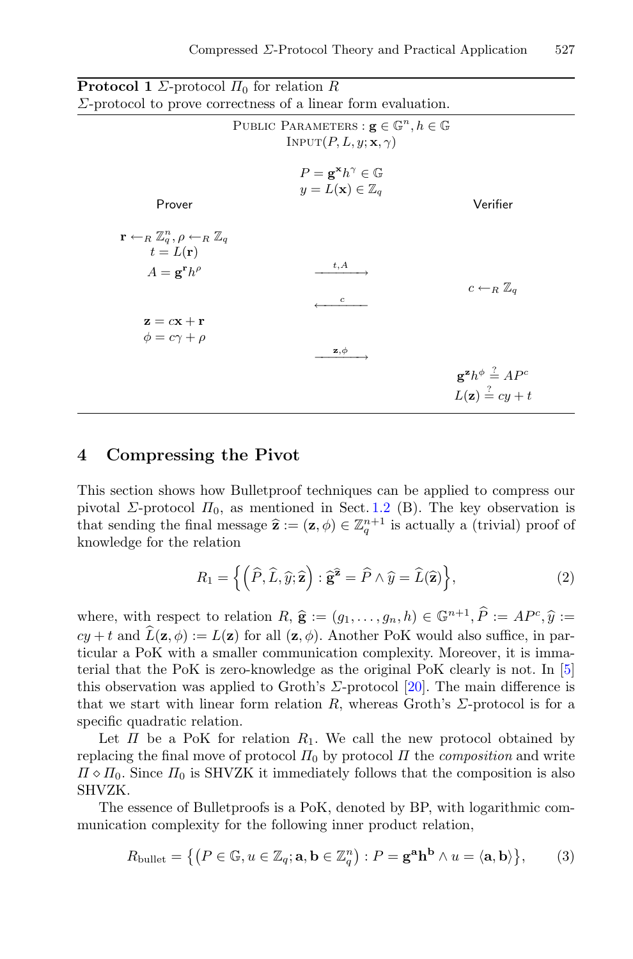<span id="page-14-1"></span>

| <b>Protocol 1</b> $\Sigma$ -protocol $\Pi_0$ for relation R                                                                      |                                                                                                     |                                                                                                  |
|----------------------------------------------------------------------------------------------------------------------------------|-----------------------------------------------------------------------------------------------------|--------------------------------------------------------------------------------------------------|
|                                                                                                                                  | $\Sigma$ -protocol to prove correctness of a linear form evaluation.                                |                                                                                                  |
|                                                                                                                                  | PUBLIC PARAMETERS : $g \in \mathbb{G}^n, h \in \mathbb{G}$<br>INPUT $(P, L, y; \mathbf{x}, \gamma)$ |                                                                                                  |
| Prover                                                                                                                           | $P = \mathbf{g}^{\mathbf{x}} h^{\gamma} \in \mathbb{G}$<br>$y = L(\mathbf{x}) \in \mathbb{Z}_q$     | Verifier                                                                                         |
|                                                                                                                                  |                                                                                                     |                                                                                                  |
| $\mathbf{r} \leftarrow_R \mathbb{Z}_a^n, \rho \leftarrow_R \mathbb{Z}_q$<br>$t = L(r)$<br>$A = \mathbf{g}^{\mathbf{r}} h^{\rho}$ | t,A<br>$\mathfrak{c}$                                                                               | $c \leftarrow_R \mathbb{Z}_q$                                                                    |
| $z = cx + r$<br>$\phi = c\gamma + \rho$                                                                                          | $\mathbf{z}, \phi$                                                                                  |                                                                                                  |
|                                                                                                                                  |                                                                                                     | $\mathbf{g}^{\mathbf{z}}h^{\phi} \stackrel{?}{=} AP^c$<br>$L(\mathbf{z}) \stackrel{?}{=} cy + t$ |

### <span id="page-14-0"></span>**4 Compressing the Pivot**

This section shows how Bulletproof techniques can be applied to compress our pivotal  $\Sigma$ -protocol  $\Pi_0$ , as mentioned in Sect. [1.2](#page-3-1) (B). The key observation is<br>that sending the final message  $\hat{\mathbf{z}} = (\mathbf{z}, \phi) \in \mathbb{Z}^{n+1}$  is actually a (trivial) proof of that sending the final message  $\hat{\mathbf{z}} := (\mathbf{z}, \phi) \in \mathbb{Z}_q^{n+1}$  is actually a (trivial) proof of knowledge for the relation knowledge for the relation

relation  

$$
R_1 = \left\{ \left( \widehat{P}, \widehat{L}, \widehat{y}; \widehat{\mathbf{z}} \right) : \widehat{\mathbf{g}}^{\widehat{\mathbf{z}}} = \widehat{P} \wedge \widehat{y} = \widehat{L}(\widehat{\mathbf{z}}) \right\},\tag{2}
$$

where, with respect to relation  $R$ ,  $\hat{\mathbf{g}} := (g_1, \ldots, g_n, h) \in \mathbb{G}^{n+1}$ ,  $\hat{P} := AP^c$ ,  $\hat{y} :=$  $cv + t$  and  $L(\mathbf{z}, \phi) := L(\mathbf{z})$  for all  $(\mathbf{z}, \phi)$ . Another PoK would also suffice, in particular a PoK with a smaller communication complexity. Moreover, it is immaterial that the PoK is zero-knowledge as the original PoK clearly is not. In [\[5\]](#page-29-0) this observation was applied to Groth's  $\Sigma$ -protocol [\[20](#page-29-11)]. The main difference is that we start with linear form relation R, whereas Groth's  $\Sigma$ -protocol is for a specific quadratic relation.

Let  $\Pi$  be a PoK for relation  $R_1$ . We call the new protocol obtained by replacing the final move of protocol  $\Pi_0$  by protocol  $\Pi$  the *composition* and write  $\Pi \circ \Pi_0$ . Since  $\Pi_0$  is SHVZK it immediately follows that the composition is also SHVZK.

The essence of Bulletproofs is a PoK, denoted by BP, with logarithmic communication complexity for the following inner product relation,

$$
R_{\text{bullet}} = \left\{ \left( P \in \mathbb{G}, u \in \mathbb{Z}_q; \mathbf{a}, \mathbf{b} \in \mathbb{Z}_q^n \right) : P = \mathbf{g}^\mathbf{a} \mathbf{h}^\mathbf{b} \wedge u = \langle \mathbf{a}, \mathbf{b} \rangle \right\},\qquad(3)
$$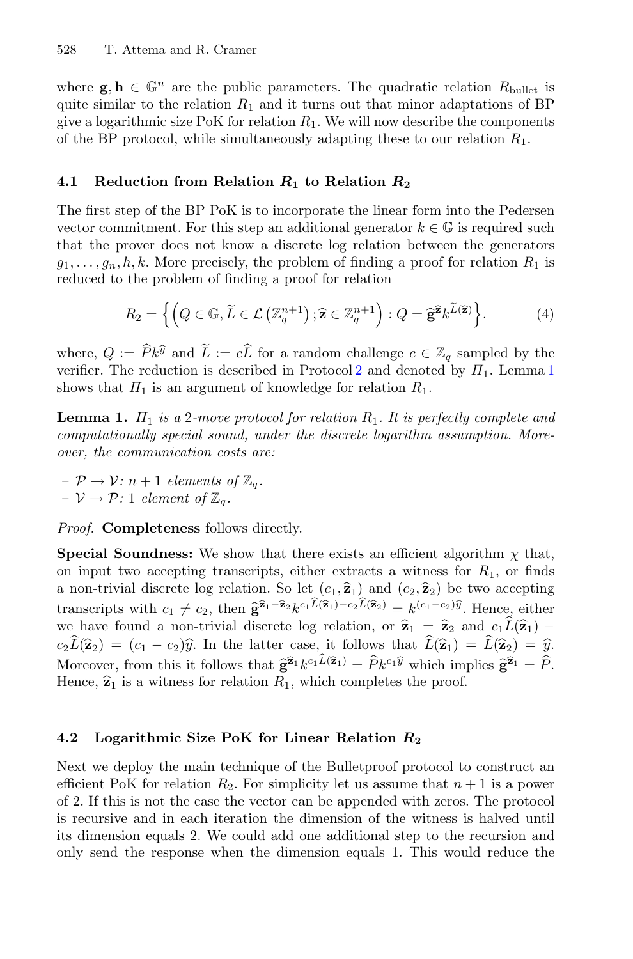where  $\mathbf{g}, \mathbf{h} \in \mathbb{G}^n$  are the public parameters. The quadratic relation  $R_{\text{bullet}}$  is quite similar to the relation  $R_1$  and it turns out that minor adaptations of BP give a logarithmic size PoK for relation  $R_1$ . We will now describe the components of the BP protocol, while simultaneously adapting these to our relation  $R_1$ .

### **4.1 Reduction from Relation** *R***<sup>1</sup> to Relation** *R***<sup>2</sup>**

The first step of the BP PoK is to incorporate the linear form into the Pedersen vector commitment. For this step an additional generator  $k \in \mathbb{G}$  is required such that the prover does not know a discrete log relation between the generators  $g_1,\ldots,g_n, h, k$ . More precisely, the problem of finding a proof for relation  $R_1$  is reduced to the problem of finding a proof for relation

the problem of finding a proof for relation  
\n
$$
R_2 = \left\{ \left( Q \in \mathbb{G}, \widetilde{L} \in \mathcal{L} \left( \mathbb{Z}_q^{n+1} \right); \widehat{\mathbf{z}} \in \mathbb{Z}_q^{n+1} \right) : Q = \widehat{\mathbf{g}}^{\widehat{\mathbf{z}}} k^{\widetilde{L}(\widehat{\mathbf{z}})} \right\}.
$$
\n(4)

 $h_2 = \{ (Q \in \mathbb{G}, L \in \mathcal{L}(\mathbb{Z}_q)) : Q = \mathbf{g} \kappa \}$  (4)<br>where,  $Q := \hat{P}k^{\hat{y}}$  and  $\tilde{L} := c\hat{L}$  for a random challenge  $c \in \mathbb{Z}_q$  sampled by the<br>verifier. The reduction is described in Protocol 2 and denoted by  $\tilde{H$ verifier. The reduction is described in Protocol [2](#page-16-0) and denoted by  $\Pi_1$  $\Pi_1$ . Lemma 1 shows that  $\Pi_1$  is an argument of knowledge for relation  $R_1$ .

<span id="page-15-0"></span>**Lemma 1.**  $\Pi_1$  *is a* 2*-move protocol for relation*  $R_1$ *. It is perfectly complete and computationally special sound, under the discrete logarithm assumption. Moreover, the communication costs are:*

 $-\mathcal{P} \rightarrow \mathcal{V}$ :  $n+1$  *elements of*  $\mathbb{Z}_q$ .  $-V \rightarrow \mathcal{P}$ : 1 *element of*  $\mathbb{Z}_q$ .

*Proof.* **Completeness** follows directly.

**Special Soundness:** We show that there exists an efficient algorithm  $\chi$  that, on input two accepting transcripts, either extracts a witness for  $R_1$ , or finds a non-trivial discrete log relation. So let  $(c_1, \hat{z}_1)$  and  $(c_2, \hat{z}_2)$  be two accepting on input two accepting transcripts,<br>a non-trivial discrete log relation. So<br>transcripts with  $c_1 \neq c_2$ , then  $\hat{\mathbf{g}}^{\hat{\mathbf{z}}_1-\hat{\mathbf{z}}_2}$ <br>we have found a non-trivial discrete either extracts a witness for  $R_1$ , or finds<br>let  $(c_1, \hat{\mathbf{z}}_1)$  and  $(c_2, \hat{\mathbf{z}}_2)$  be two accepting<br> $k^{c_1 \hat{L}(\hat{\mathbf{z}}_1) - c_2 \hat{L}(\hat{\mathbf{z}}_2)} = k^{(c_1 - c_2)\hat{y}}$ . Hence, either<br>log relation or  $\hat{\mathbf{z}}_1 = \hat{\mathbf{z}}_2$ we have found a non-trivial discrete log relation, or  $\hat{\mathbf{z}}_1 = \hat{\mathbf{z}}_2$  and  $c_1\hat{L}(\hat{\mathbf{z}}_1)$  – we nave found a non-trivial discrete log relation, or  $\mathbf{z}_1 = \mathbf{z}_2$  and  $c_1L(\mathbf{z}_1) - c_2\hat{L}(\hat{\mathbf{z}}_2) = (c_1 - c_2)\hat{y}$ . In the latter case, it follows that  $\hat{L}(\hat{\mathbf{z}}_1) = \hat{L}(\hat{\mathbf{z}}_2) = \hat{y}$ .<br>Moreover from th we nave found a non-trivial discrete<br>  $c_2 \hat{L}(\hat{\mathbf{z}}_2) = (c_1 - c_2)\hat{y}$ . In the latter of<br>
Moreover, from this it follows that  $\hat{\mathbf{g}}^2$ <br>
Hence  $\hat{\mathbf{z}}_i$  is a witness for relation  $R_i$ . **z**<sup>1</sup> log relation, or  $\mathbf{z}_1 = \mathbf{z}_2$  and  $c_1L(\mathbf{z}_1) -$ <br>ase, it follows that  $\hat{L}(\hat{\mathbf{z}}_1) = \hat{L}(\hat{\mathbf{z}}_2) = \hat{y}$ .<br> $k^{c_1\hat{L}(\hat{\mathbf{z}}_1)} = \hat{P}k^{c_1\hat{y}}$  which implies  $\hat{\mathbf{g}}^{\hat{\mathbf{z}}_1} = \hat{P}$ .<br>which completes th Hence,  $\hat{\mathbf{z}}_1$  is a witness for relation  $R_1$ , which completes the proof.

### **4.2 Logarithmic Size PoK for Linear Relation** *R***<sup>2</sup>**

Next we deploy the main technique of the Bulletproof protocol to construct an efficient PoK for relation  $R_2$ . For simplicity let us assume that  $n+1$  is a power of 2. If this is not the case the vector can be appended with zeros. The protocol is recursive and in each iteration the dimension of the witness is halved until its dimension equals 2. We could add one additional step to the recursion and only send the response when the dimension equals 1. This would reduce the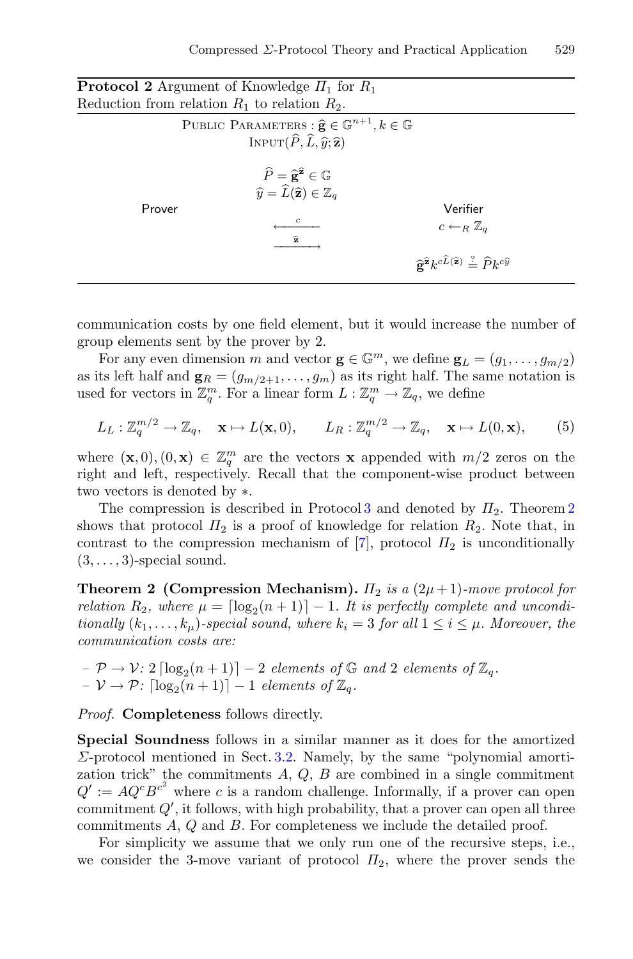<span id="page-16-0"></span>

| <b>Protocol 2</b> Argument of Knowledge $\Pi_1$ for $R_1$ |                                                                                                                                                  |                                                                                                                                 |  |  |
|-----------------------------------------------------------|--------------------------------------------------------------------------------------------------------------------------------------------------|---------------------------------------------------------------------------------------------------------------------------------|--|--|
| Reduction from relation $R_1$ to relation $R_2$ .         |                                                                                                                                                  |                                                                                                                                 |  |  |
|                                                           | PUBLIC PARAMETERS : $\hat{\mathbf{g}} \in \mathbb{G}^{n+1}, k \in \mathbb{G}$<br>INPUT $(\widehat{P}, \widehat{L}, \widehat{y}; \widehat{z})$    |                                                                                                                                 |  |  |
|                                                           | $\widehat{P} = \widehat{\mathbf{g}}^{\widehat{\mathbf{z}}} \in \mathbb{G}$<br>$\widehat{y} = \widehat{L}(\widehat{\mathbf{z}}) \in \mathbb{Z}_q$ |                                                                                                                                 |  |  |
| Prover                                                    |                                                                                                                                                  | Verifier                                                                                                                        |  |  |
|                                                           | $\frac{c}{c}$                                                                                                                                    | $c \leftarrow_R \mathbb{Z}_q$                                                                                                   |  |  |
|                                                           | $\hat{\mathbf{z}}$                                                                                                                               |                                                                                                                                 |  |  |
|                                                           |                                                                                                                                                  | $\widehat{\mathbf{g}}^{\widehat{\mathbf{z}}}k^{c\widehat{L}(\widehat{\mathbf{z}})} \stackrel{?}{=} \widehat{P}k^{c\widehat{y}}$ |  |  |

communication costs by one field element, but it would increase the number of group elements sent by the prover by 2.

For any even dimension m and vector  $\mathbf{g} \in \mathbb{G}^m$ , we define  $\mathbf{g}_L = (g_1, \ldots, g_{m/2})$ as its left half and  $\mathbf{g}_R = (g_{m/2+1}, \ldots, g_m)$  as its right half. The same notation is used for vectors in  $\mathbb{Z}_q^m$ . For a linear form  $L : \mathbb{Z}_q^m \to \mathbb{Z}_q$ , we define

$$
L_L: \mathbb{Z}_q^{m/2} \to \mathbb{Z}_q, \quad \mathbf{x} \mapsto L(\mathbf{x}, 0), \qquad L_R: \mathbb{Z}_q^{m/2} \to \mathbb{Z}_q, \quad \mathbf{x} \mapsto L(0, \mathbf{x}), \tag{5}
$$

where  $(\mathbf{x}, 0), (0, \mathbf{x}) \in \mathbb{Z}_q^m$  are the vectors **x** appended with  $m/2$  zeros on the right and left respectively Recall that the component-wise product between right and left, respectively. Recall that the component-wise product between two vectors is denoted by ∗.

The compression is described in Protocol [3](#page-17-0) and denoted by  $\Pi_2$  $\Pi_2$ . Theorem 2 shows that protocol  $\Pi_2$  is a proof of knowledge for relation  $R_2$ . Note that, in contrast to the compression mechanism of [\[7](#page-29-1)], protocol  $\Pi_2$  is unconditionally  $(3,\ldots,3)$ -special sound.

<span id="page-16-1"></span>**Theorem 2 (Compression Mechanism).**  $\Pi_2$  *is a*  $(2\mu+1)$ *-move protocol for relation*  $R_2$ , where  $\mu = \lfloor \log_2(n+1) \rfloor - 1$ . It is perfectly complete and uncondi*tionally*  $(k_1, \ldots, k_\mu)$ *-special sound, where*  $k_i = 3$  *for all*  $1 \leq i \leq \mu$ *. Moreover, the communication costs are:*

 $P \rightarrow V: 2 \left[ \log_2(n+1) \right] - 2$  *elements of* G *and* 2 *elements of*  $\mathbb{Z}_q$ *.*  $-V \rightarrow \mathcal{P}$ :  $\lceil \log_2(n+1) \rceil - 1$  *elements of*  $\mathbb{Z}_q$ .

*Proof.* **Completeness** follows directly.

**Special Soundness** follows in a similar manner as it does for the amortized  $\Sigma$ -protocol mentioned in Sect. [3.2.](#page-13-1) Namely, by the same "polynomial amortization trick" the commitments  $A, Q, B$  are combined in a single commitment  $Q' := AQ^cB^{c^2}$  where c is a random challenge. Informally, if a prover can open<br>commitment  $Q'$  it follows with high probability that a prover can open all three commitment  $Q'$ , it follows, with high probability, that a prover can open all three<br>commitments  $A$ ,  $Q$  and  $B$ . For completeness we include the detailed proof commitments A, Q and B. For completeness we include the detailed proof.

For simplicity we assume that we only run one of the recursive steps, i.e., we consider the 3-move variant of protocol  $\Pi_2$ , where the prover sends the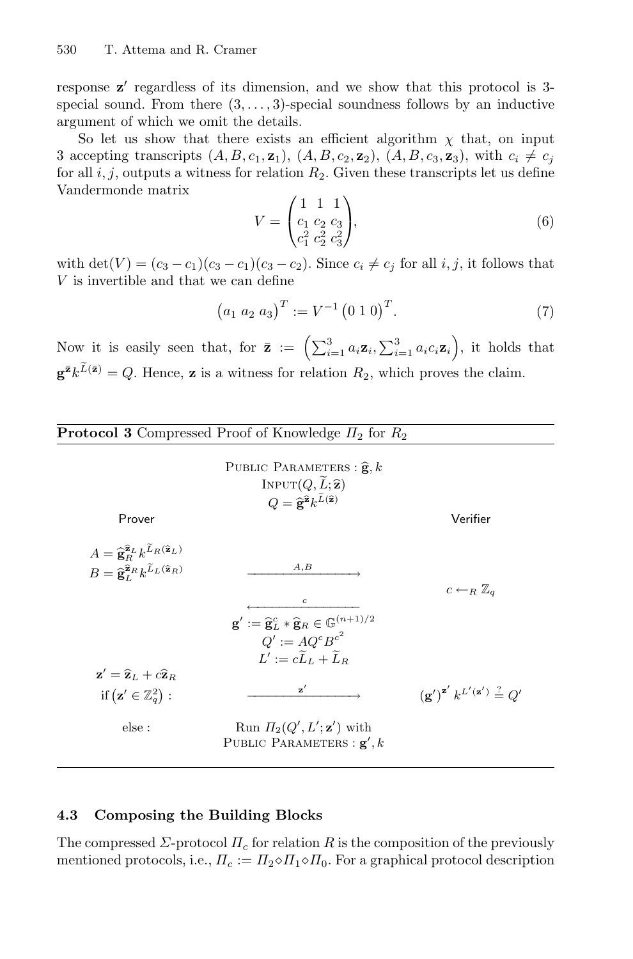response **z**' regardless of its dimension, and we show that this protocol is 3special sound. From there  $(3,\ldots,3)$ -special soundness follows by an inductive argument of which we omit the details.

So let us show that there exists an efficient algorithm  $\chi$  that, on input 3 accepting transcripts  $(A, B, c_1, \mathbf{z}_1), (A, B, c_2, \mathbf{z}_2), (A, B, c_3, \mathbf{z}_3)$ , with  $c_i \neq c_j$ for all  $i, j$ , outputs a witness for relation  $R_2$ . Given these transcripts let us define Vandermonde matrix

$$
V = \begin{pmatrix} 1 & 1 & 1 \\ c_1 & c_2 & c_3 \\ c_1^2 & c_2^2 & c_3^2 \end{pmatrix},
$$
 (6)

with  $\det(V) = (c_3 - c_1)(c_3 - c_1)(c_3 - c_2)$ . Since  $c_i \neq c_j$  for all i, j, it follows that V is invertible and that we can define

$$
(a_1 \ a_2 \ a_3)^T := V^{-1} (0 \ 1 \ 0)^T. \tag{7}
$$

Now it is easily seen that, for  $\bar{\mathbf{z}} := \left( \sum_{i=1}^3 a_i \mathbf{z}_i, \sum_{i=1}^3 a_i c_i \mathbf{z}_i \right)$ , it holds that  $\mathbf{g}^{\bar{\mathbf{z}}} k^{\tilde{L}(\bar{\mathbf{z}})} = Q$ . Hence, **z** is a witness for relation  $R_2$ , which proves the claim.

<span id="page-17-0"></span>

**Protocol 3** Compressed Proof of Knowledge  $\Pi_2$  for  $R_2$ <br>PUBLIC PARAMETERS :  $\hat{\mathbf{g}}, k$  $\overline{a}$  $\alpha$  PARAMETEI<br>
INPUT $(Q, \tilde{L}; \hat{z})$  $INPUT(Q, \widetilde{L}; \widehat{\mathbf{z}})$ PARA<br>NPUT( $Q = \hat{\mathbf{g}}$ **z** $h_{k}^{\text{ETE}}$ **z**) Prover Verifier F<br> $A = \hat{\mathbf{g}}$ Prover **z***L* 'rover<br><sup>2</sup>L k<sup>L̃</sup>R<sup>(2)</sup><br>2 P i L̃r (2) **z***L*)  $A = \hat{\mathbf{g}}_R^{\hat{\mathbf{z}}_L} k^{\widetilde{L}_R(\hat{\mathbf{z}})}$ <br>  $B = \hat{\mathbf{g}}_L^{\hat{\mathbf{z}}_R} k^{\widetilde{L}_L(\hat{\mathbf{z}})}$  $B = \hat{\mathbf{g}}_I^{\hat{\mathbf{z}}_R} k^{\tilde{L}_L(\hat{\mathbf{z}}_R)}$  $\widehat{\mathbf{z}}_R$ )  $A,B$   $\longrightarrow$  $c \leftarrow_R \mathbb{Z}_q$  $\mathbf{g}':=\begin{aligned} &\overbrace{\mathbf{\hat{g}}_L^c\ast \mathbf{\hat{g}}_R}^c \in \mathbb{G}^{(n+1)/2} \ Q':=AQ^cB^{c^2} \ L':=c\widetilde{L}_L+\widetilde{L}_R \end{aligned}$  $Q' := AQ^cB^{c^2}$  $L' := c\widetilde{L}_L + \widetilde{L}_B$  $\mathbf{z}' = \hat{\mathbf{z}}_L + c\hat{\mathbf{z}}_R$  $\mathbf{z}' = \hat{\mathbf{z}}_L + c$ <br>if  $(\mathbf{z}' \in \mathbb{Z}_q^2)$ : **<sup>z</sup>**-−−−−−−−−−−−−−−→ (**g**- $\left( \int^{\mathbf{z}'} k^{L'(\mathbf{z}')} \stackrel{?}{=} Q' \right)$ else : Run  $\Pi_2(Q', L'; \mathbf{z}')$  with<br>PUBLIC PARAMETERS :  $\mathbf{\sigma}'$ Public Parameters :  $\mathbf{g}', k$ 

#### **4.3 Composing the Building Blocks**

The compressed  $\Sigma$ -protocol  $\Pi_c$  for relation R is the composition of the previously mentioned protocols, i.e.,  $\Pi_c := \Pi_2 \diamond \Pi_1 \diamond \Pi_0$ . For a graphical protocol description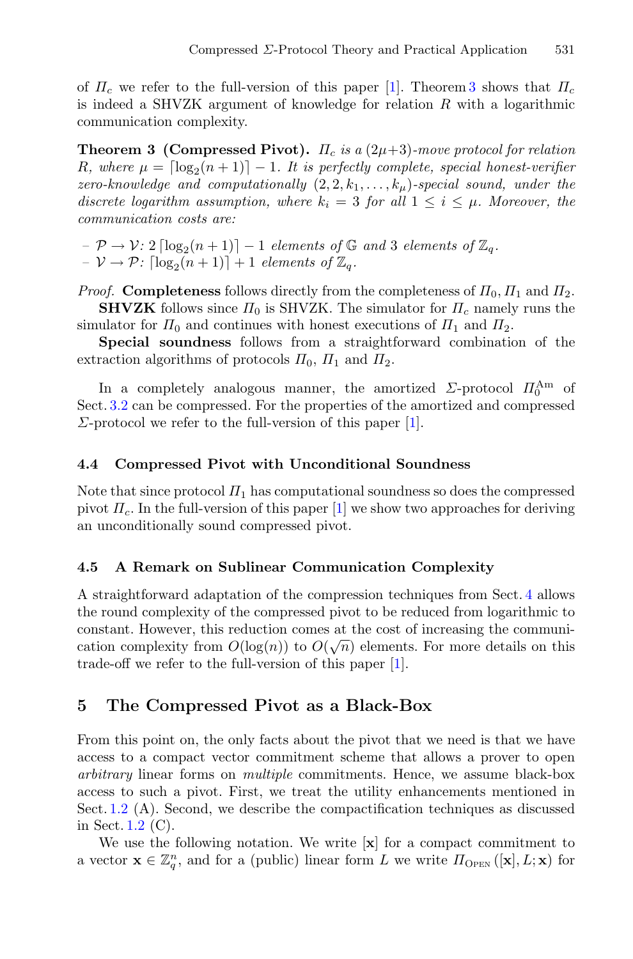of  $\Pi_c$  we refer to the full-version of this paper [\[1](#page-28-0)]. Theorem [3](#page-18-1) shows that  $\Pi_c$ is indeed a SHVZK argument of knowledge for relation  $R$  with a logarithmic communication complexity.

<span id="page-18-1"></span>**Theorem 3 (Compressed Pivot).**  $\Pi_c$  *is a* ( $2\mu+3$ )*-move protocol for relation* R, where  $\mu = \lfloor \log_2(n+1) \rfloor - 1$ . It is perfectly complete, special honest-verifier *zero-knowledge and computationally*  $(2, 2, k_1, \ldots, k_\mu)$ *-special sound, under the discrete logarithm assumption, where*  $k_i = 3$  *for all*  $1 \leq i \leq \mu$ *. Moreover, the communication costs are:*

 $P \rightarrow V: 2 \lceil \log_2(n+1) \rceil - 1$  *elements of* G *and* 3 *elements of*  $\mathbb{Z}_q$ .  $-V \rightarrow \mathcal{P}$ :  $\lceil \log_2(n+1) \rceil + 1$  *elements of*  $\mathbb{Z}_q$ .

*Proof.* **Completeness** follows directly from the completeness of  $\Pi_0$ ,  $\Pi_1$  and  $\Pi_2$ . **SHVZK** follows since  $\Pi_0$  is SHVZK. The simulator for  $\Pi_c$  namely runs the

simulator for  $\Pi_0$  and continues with honest executions of  $\Pi_1$  and  $\Pi_2$ .

**Special soundness** follows from a straightforward combination of the extraction algorithms of protocols  $\Pi_0$ ,  $\Pi_1$  and  $\Pi_2$ .

In a completely analogous manner, the amortized  $\Sigma$ -protocol  $\Pi_0^{\text{Am}}$  of the system becompressed. For the properties of the amortized and compressed Sect. [3.2](#page-13-1) can be compressed. For the properties of the amortized and compressed  $\Sigma$ -protocol we refer to the full-version of this paper [\[1](#page-28-0)].

### **4.4 Compressed Pivot with Unconditional Soundness**

Note that since protocol  $\Pi_1$  has computational soundness so does the compressed pivot  $\Pi_c$ . In the full-version of this paper [\[1](#page-28-0)] we show two approaches for deriving an unconditionally sound compressed pivot.

### **4.5 A Remark on Sublinear Communication Complexity**

A straightforward adaptation of the compression techniques from Sect. [4](#page-14-0) allows the round complexity of the compressed pivot to be reduced from logarithmic to constant. However, this reduction comes at the cost of increasing the communication complexity from  $O(\log(n))$  to  $O(\sqrt{n})$  elements. For more details on this trade-off we refer to the full-version of this paper [\[1\]](#page-28-0).

# <span id="page-18-0"></span>**5 The Compressed Pivot as a Black-Box**

From this point on, the only facts about the pivot that we need is that we have access to a compact vector commitment scheme that allows a prover to open *arbitrary* linear forms on *multiple* commitments. Hence, we assume black-box access to such a pivot. First, we treat the utility enhancements mentioned in Sect. [1.2](#page-3-1) (A). Second, we describe the compactification techniques as discussed in Sect. [1.2](#page-3-1) (C).

We use the following notation. We write [**x**] for a compact commitment to a vector  $\mathbf{x} \in \mathbb{Z}_q^n$ , and for a (public) linear form L we write  $\Pi_{\text{OPEN}}([\mathbf{x}], L; \mathbf{x})$  for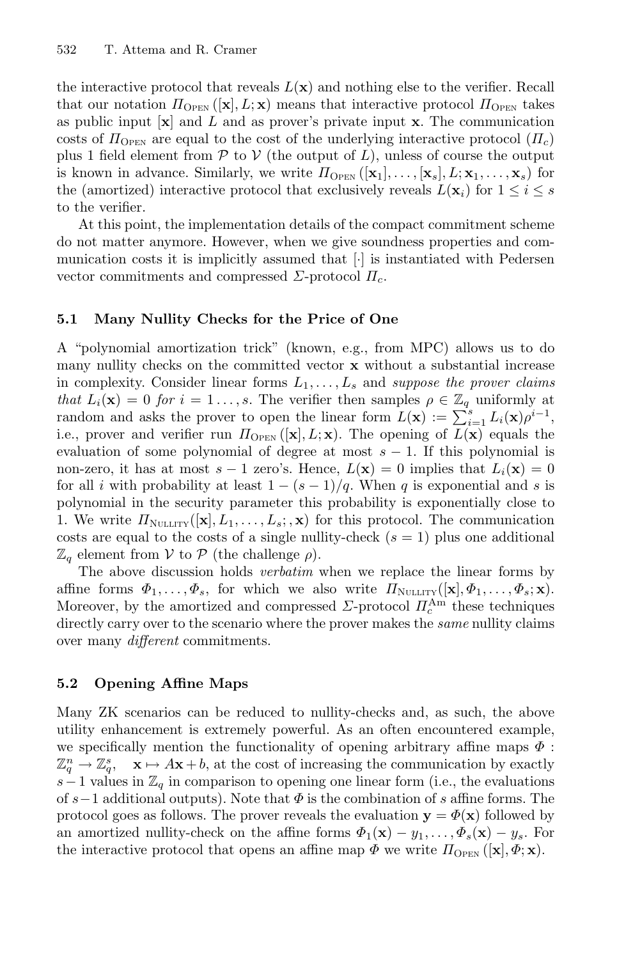the interactive protocol that reveals  $L(\mathbf{x})$  and nothing else to the verifier. Recall that our notation  $\Pi_{\text{OPEN}}([\mathbf{x}], L; \mathbf{x})$  means that interactive protocol  $\Pi_{\text{OPEN}}$  takes as public input  $[\mathbf{x}]$  and L and as prover's private input **x**. The communication costs of  $\Pi_{\text{OPEN}}$  are equal to the cost of the underlying interactive protocol  $(\Pi_c)$ plus 1 field element from  $P$  to  $V$  (the output of L), unless of course the output is known in advance. Similarly, we write  $\Pi_{\text{OPEN}}([\mathbf{x}_1], \ldots, [\mathbf{x}_s], L; \mathbf{x}_1, \ldots, \mathbf{x}_s)$  for the (amortized) interactive protocol that exclusively reveals  $L(\mathbf{x}_i)$  for  $1 \leq i \leq s$ to the verifier.

At this point, the implementation details of the compact commitment scheme do not matter anymore. However, when we give soundness properties and communication costs it is implicitly assumed that [·] is instantiated with Pedersen vector commitments and compressed  $\Sigma$ -protocol  $\Pi_c$ .

### <span id="page-19-0"></span>**5.1 Many Nullity Checks for the Price of One**

A "polynomial amortization trick" (known, e.g., from MPC) allows us to do many nullity checks on the committed vector **x** without a substantial increase in complexity. Consider linear forms  $L_1, \ldots, L_s$  and *suppose the prover claims that*  $L_i(\mathbf{x}) = 0$  *for*  $i = 1 \ldots, s$ . The verifier then samples  $\rho \in \mathbb{Z}_q$  uniformly at random and asks the prover to open the linear form  $L(\mathbf{x}) := \sum_{i=1}^{s} L_i(\mathbf{x})\rho^{i-1}$ ,<br>i.e. prover and verifier run  $H_{\text{O--}}([\mathbf{x}] L(\mathbf{x})$ . The opening of  $L(\mathbf{x})$  equals the i.e., prover and verifier run  $\Pi_{\text{OPEN}}([\mathbf{x}], L; \mathbf{x})$ . The opening of  $L(\mathbf{x})$  equals the evaluation of some polynomial of degree at most  $s - 1$ . If this polynomial is non-zero, it has at most  $s - 1$  zero's. Hence,  $L(\mathbf{x}) = 0$  implies that  $L_i(\mathbf{x}) = 0$ for all i with probability at least  $1 - (s - 1)/q$ . When q is exponential and s is polynomial in the security parameter this probability is exponentially close to 1. We write  $\Pi_{\text{NULLITY}}([\mathbf{x}], L_1, \ldots, L_s; \mathbf{x})$  for this protocol. The communication costs are equal to the costs of a single nullity-check  $(s = 1)$  plus one additional  $\mathbb{Z}_q$  element from V to P (the challenge  $\rho$ ).

The above discussion holds *verbatim* when we replace the linear forms by affine forms  $\Phi_1, \ldots, \Phi_s$ , for which we also write  $\Pi_{\text{NULLITY}}([\mathbf{x}], \Phi_1, \ldots, \Phi_s; \mathbf{x})$ . Moreover, by the amortized and compressed  $\Sigma$ -protocol  $\Pi_c^{\text{Am}}$  these techniques directly carry over to the scenario where the prover makes the same pullity claims directly carry over to the scenario where the prover makes the *same* nullity claims over many *different* commitments.

### **5.2 Opening Affine Maps**

Many ZK scenarios can be reduced to nullity-checks and, as such, the above utility enhancement is extremely powerful. As an often encountered example, we specifically mention the functionality of opening arbitrary affine maps  $\Phi$ :  $\mathbb{Z}_q^n \to \mathbb{Z}_q^s$ ,  $\mathbf{x} \mapsto A\mathbf{x} + b$ , at the cost of increasing the communication by exactly  $s-1$  values in  $\mathbb{Z}_q$  in comparison to opening one linear form (i.e., the evaluations s – 1 values in  $\mathbb{Z}_q$  in comparison to opening one linear form (i.e., the evaluations of s−1 additional outputs). Note that  $\Phi$  is the combination of s affine forms. The protocol goes as follows. The prover reveals the evaluation  $\mathbf{y} = \Phi(\mathbf{x})$  followed by an amortized nullity-check on the affine forms  $\Phi_1(\mathbf{x}) - y_1, \ldots, \Phi_s(\mathbf{x}) - y_s$ . For the interactive protocol that opens an affine map  $\Phi$  we write  $\Pi_{\text{OPER}}([\mathbf{x}], \Phi; \mathbf{x})$ .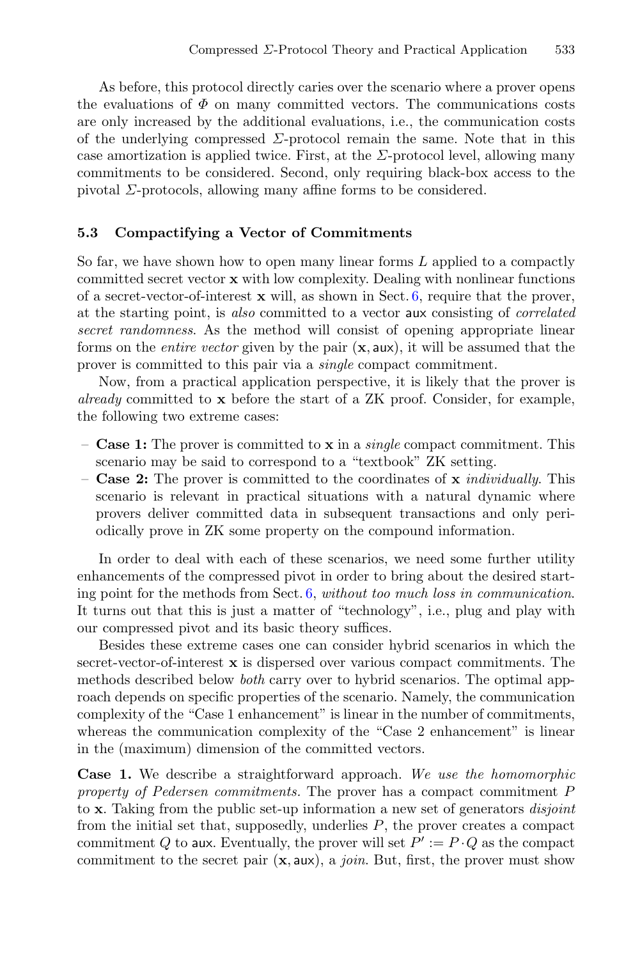As before, this protocol directly caries over the scenario where a prover opens the evaluations of  $\Phi$  on many committed vectors. The communications costs are only increased by the additional evaluations, i.e., the communication costs of the underlying compressed  $\Sigma$ -protocol remain the same. Note that in this case amortization is applied twice. First, at the  $\Sigma$ -protocol level, allowing many commitments to be considered. Second, only requiring black-box access to the pivotal  $\Sigma$ -protocols, allowing many affine forms to be considered.

#### <span id="page-20-0"></span>**5.3 Compactifying a Vector of Commitments**

So far, we have shown how to open many linear forms L applied to a compactly committed secret vector **x** with low complexity. Dealing with nonlinear functions of a secret-vector-of-interest **x** will, as shown in Sect. [6,](#page-21-0) require that the prover, at the starting point, is *also* committed to a vector aux consisting of *correlated secret randomness*. As the method will consist of opening appropriate linear forms on the *entire vector* given by the pair (**x**, aux), it will be assumed that the prover is committed to this pair via a *single* compact commitment.

Now, from a practical application perspective, it is likely that the prover is *already* committed to **x** before the start of a ZK proof. Consider, for example, the following two extreme cases:

- **Case 1:** The prover is committed to **x** in a *single* compact commitment. This scenario may be said to correspond to a "textbook" ZK setting.
- **Case 2:** The prover is committed to the coordinates of **x** *individually*. This scenario is relevant in practical situations with a natural dynamic where provers deliver committed data in subsequent transactions and only periodically prove in ZK some property on the compound information.

In order to deal with each of these scenarios, we need some further utility enhancements of the compressed pivot in order to bring about the desired starting point for the methods from Sect. [6,](#page-21-0) *without too much loss in communication*. It turns out that this is just a matter of "technology", i.e., plug and play with our compressed pivot and its basic theory suffices.

Besides these extreme cases one can consider hybrid scenarios in which the secret-vector-of-interest **x** is dispersed over various compact commitments. The methods described below *both* carry over to hybrid scenarios. The optimal approach depends on specific properties of the scenario. Namely, the communication complexity of the "Case 1 enhancement" is linear in the number of commitments, whereas the communication complexity of the "Case 2 enhancement" is linear in the (maximum) dimension of the committed vectors.

**Case 1.** We describe a straightforward approach. *We use the homomorphic property of Pedersen commitments.* The prover has a compact commitment P to **x**. Taking from the public set-up information a new set of generators *disjoint* from the initial set that, supposedly, underlies  $P$ , the prover creates a compact commitment Q to aux. Eventually, the prover will set  $P' := P \cdot Q$  as the compact commitment to the secret pair  $(x, aux)$ , a *join*. But, first, the prover must show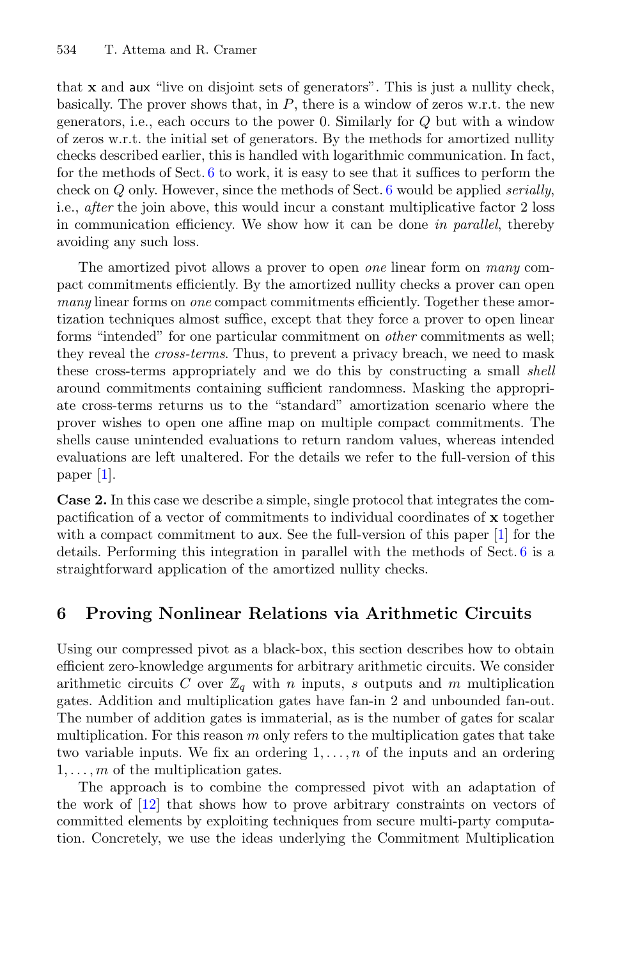that **x** and aux "live on disjoint sets of generators". This is just a nullity check, basically. The prover shows that, in  $P$ , there is a window of zeros w.r.t. the new generators, i.e., each occurs to the power 0. Similarly for Q but with a window of zeros w.r.t. the initial set of generators. By the methods for amortized nullity checks described earlier, this is handled with logarithmic communication. In fact, for the methods of Sect. [6](#page-21-0) to work, it is easy to see that it suffices to perform the check on Q only. However, since the methods of Sect. [6](#page-21-0) would be applied *serially*, i.e., *after* the join above, this would incur a constant multiplicative factor 2 loss in communication efficiency. We show how it can be done *in parallel*, thereby avoiding any such loss.

The amortized pivot allows a prover to open *one* linear form on *many* compact commitments efficiently. By the amortized nullity checks a prover can open *many* linear forms on *one* compact commitments efficiently. Together these amortization techniques almost suffice, except that they force a prover to open linear forms "intended" for one particular commitment on *other* commitments as well; they reveal the *cross-terms*. Thus, to prevent a privacy breach, we need to mask these cross-terms appropriately and we do this by constructing a small *shell* around commitments containing sufficient randomness. Masking the appropriate cross-terms returns us to the "standard" amortization scenario where the prover wishes to open one affine map on multiple compact commitments. The shells cause unintended evaluations to return random values, whereas intended evaluations are left unaltered. For the details we refer to the full-version of this paper [\[1](#page-28-0)].

**Case 2.** In this case we describe a simple, single protocol that integrates the compactification of a vector of commitments to individual coordinates of **x** together with a compact commitment to aux. See the full-version of this paper [\[1\]](#page-28-0) for the details. Performing this integration in parallel with the methods of Sect. [6](#page-21-0) is a straightforward application of the amortized nullity checks.

### <span id="page-21-0"></span>**6 Proving Nonlinear Relations via Arithmetic Circuits**

Using our compressed pivot as a black-box, this section describes how to obtain efficient zero-knowledge arguments for arbitrary arithmetic circuits. We consider arithmetic circuits C over  $\mathbb{Z}_q$  with n inputs, s outputs and m multiplication gates. Addition and multiplication gates have fan-in 2 and unbounded fan-out. The number of addition gates is immaterial, as is the number of gates for scalar multiplication. For this reason  $m$  only refers to the multiplication gates that take two variable inputs. We fix an ordering  $1, \ldots, n$  of the inputs and an ordering  $1, \ldots, m$  of the multiplication gates.

The approach is to combine the compressed pivot with an adaptation of the work of [\[12\]](#page-29-3) that shows how to prove arbitrary constraints on vectors of committed elements by exploiting techniques from secure multi-party computation. Concretely, we use the ideas underlying the Commitment Multiplication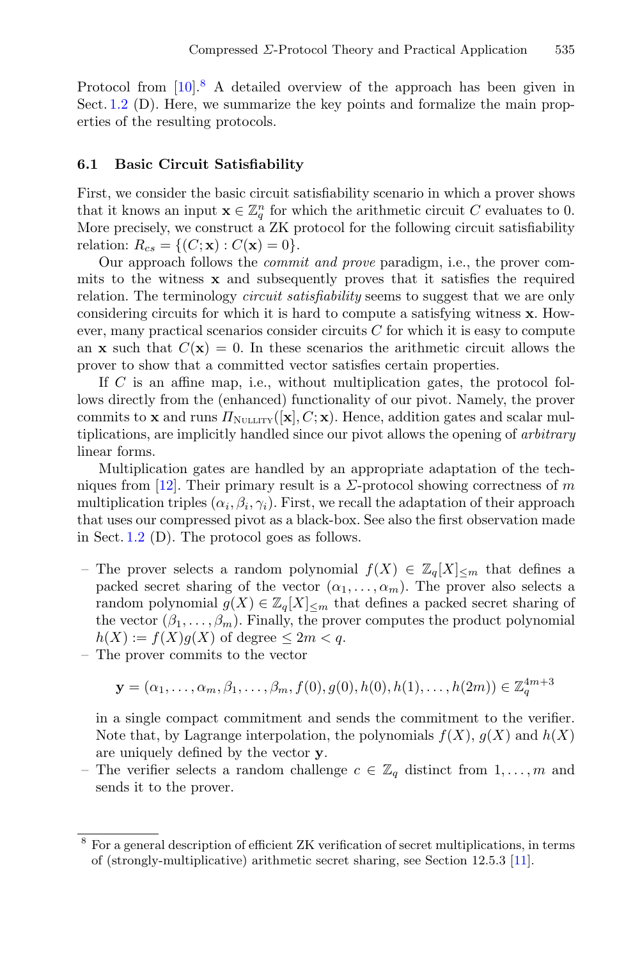Protocol from [\[10](#page-29-7)].<sup>[8](#page-22-0)</sup> A detailed overview of the approach has been given in Sect. [1.2](#page-3-1) (D). Here, we summarize the key points and formalize the main properties of the resulting protocols.

#### **6.1 Basic Circuit Satisfiability**

First, we consider the basic circuit satisfiability scenario in which a prover shows that it knows an input  $\mathbf{x} \in \mathbb{Z}_q^n$  for which the arithmetic circuit C evaluates to 0.<br>More precisely we construct a ZK protocol for the following circuit satisfiability More precisely, we construct a ZK protocol for the following circuit satisfiability relation:  $R_{cs} = \{ (C; \mathbf{x}) : C(\mathbf{x}) = 0 \}.$ 

Our approach follows the *commit and prove* paradigm, i.e., the prover commits to the witness **x** and subsequently proves that it satisfies the required relation. The terminology *circuit satisfiability* seems to suggest that we are only considering circuits for which it is hard to compute a satisfying witness **x**. However, many practical scenarios consider circuits  $C$  for which it is easy to compute an **x** such that  $C(\mathbf{x}) = 0$ . In these scenarios the arithmetic circuit allows the prover to show that a committed vector satisfies certain properties.

If  $C$  is an affine map, i.e., without multiplication gates, the protocol follows directly from the (enhanced) functionality of our pivot. Namely, the prover commits to **x** and runs  $\Pi_{\text{NULITY}}([\mathbf{x}], C; \mathbf{x})$ . Hence, addition gates and scalar multiplications, are implicitly handled since our pivot allows the opening of *arbitrary* linear forms.

Multiplication gates are handled by an appropriate adaptation of the tech-niques from [\[12](#page-29-3)]. Their primary result is a  $\Sigma$ -protocol showing correctness of m multiplication triples  $(\alpha_i, \beta_i, \gamma_i)$ . First, we recall the adaptation of their approach that uses our compressed pivot as a black-box. See also the first observation made in Sect. [1.2](#page-3-1) (D). The protocol goes as follows.

- The prover selects a random polynomial  $f(X) \in \mathbb{Z}_q[X]_{\leq m}$  that defines a packed secret sharing of the vector  $(\alpha_1,\ldots,\alpha_m)$ . The prover also selects a random polynomial  $g(X) \in \mathbb{Z}_q[X]_{\leq m}$  that defines a packed secret sharing of the vector  $(\beta_1,\ldots,\beta_m)$ . Finally, the prover computes the product polynomial  $h(X) := f(X)g(X)$  of degree  $\leq 2m < q$ .
- The prover commits to the vector

$$
\mathbf{y} = (\alpha_1, \dots, \alpha_m, \beta_1, \dots, \beta_m, f(0), g(0), h(0), h(1), \dots, h(2m)) \in \mathbb{Z}_q^{4m+3}
$$

in a single compact commitment and sends the commitment to the verifier. Note that, by Lagrange interpolation, the polynomials  $f(X)$ ,  $g(X)$  and  $h(X)$ are uniquely defined by the vector **y**.

– The verifier selects a random challenge  $c \in \mathbb{Z}_q$  distinct from  $1,\ldots,m$  and sends it to the prover.

<span id="page-22-0"></span><sup>8</sup> For a general description of efficient ZK verification of secret multiplications, in terms of (strongly-multiplicative) arithmetic secret sharing, see Section 12.5.3 [\[11](#page-29-8)].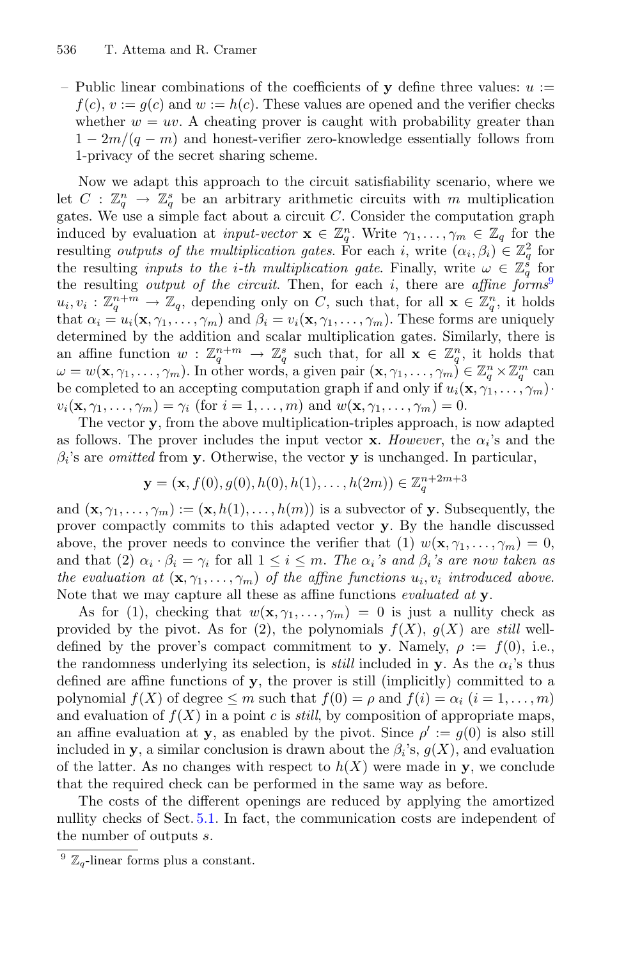– Public linear combinations of the coefficients of **y** define three values:  $u :=$  $f(c), v := q(c)$  and  $w := h(c)$ . These values are opened and the verifier checks whether  $w = uv$ . A cheating prover is caught with probability greater than  $1 - 2m/(q - m)$  and honest-verifier zero-knowledge essentially follows from 1-privacy of the secret sharing scheme.

Now we adapt this approach to the circuit satisfiability scenario, where we let  $C : \mathbb{Z}_q^n \to \mathbb{Z}_q^s$  be an arbitrary arithmetic circuits with m multiplication<br>gates. We use a simple fact about a circuit C. Consider the computation graph gates. We use a simple fact about a circuit C. Consider the computation graph induced by evaluation at *input-vector*  $\mathbf{x} \in \mathbb{Z}_q^n$ . Write  $\gamma_1, \ldots, \gamma_m \in \mathbb{Z}_q$  for the resulting *outputs of the multiplication gates*. For each *i* write  $(\alpha, \beta) \in \mathbb{Z}^2$  for resulting *outputs of the multiplication gates*. For each *i*, write  $(\alpha_i, \beta_i) \in \mathbb{Z}_q^2$  for the resulting *innuts to the i-th multiplication gate*. Finally write  $\omega \in \mathbb{Z}_q^s$  for the resulting *inputs to the i-th multiplication gate*. Finally, write  $\omega \in \mathbb{Z}_q^s$  for<br>the resulting *output* of the *circuit* Then for each *i* there are affine forms<sup>9</sup> the resulting *output of the circuit*. Then, for each *i*, there are *affine forms*<sup>[9](#page-23-0)</sup>  $u_i, v_i : \mathbb{Z}_q^{n+m} \to \mathbb{Z}_q$ , depending only on C, such that, for all  $\mathbf{x} \in \mathbb{Z}_q^n$ , it holds<br>that  $\alpha_i = u_i(\mathbf{x} | \alpha_i \in \mathbb{Z}_q)$  and  $\beta_i = v_i(\mathbf{x} | \alpha_i \in \mathbb{Z}_q)$ . These forms are uniquely that  $\alpha_i = u_i(\mathbf{x}, \gamma_1, \dots, \gamma_m)$  and  $\beta_i = v_i(\mathbf{x}, \gamma_1, \dots, \gamma_m)$ . These forms are uniquely determined by the addition and scalar multiplication gates. Similarly, there is an affine function  $w : \mathbb{Z}_q^{n+m} \to \mathbb{Z}_q^s$  such that, for all  $\mathbf{x} \in \mathbb{Z}_q^n$ , it holds that  $\omega = w(\mathbf{x}, \gamma_1, \gamma_2, \gamma_3)$ . In other words a given pair  $(\mathbf{x}, \gamma_1, \gamma_2) \in \mathbb{Z}^n \times \mathbb{Z}^m$  can  $\omega = w(\mathbf{x}, \gamma_1, \dots, \gamma_m)$ . In other words, a given pair  $(\mathbf{x}, \gamma_1, \dots, \gamma_m) \in \mathbb{Z}_q^n \times \mathbb{Z}_q^m$  can<br>be completed to an accepting computation graph if and only if  $u \cdot (\mathbf{x}, \gamma_1, \dots, \gamma_m)$ be completed to an accepting computation graph if and only if  $u_i(\mathbf{x}, \gamma_1, \ldots, \gamma_m)$ .  $v_i(\mathbf{x}, \gamma_1, \dots, \gamma_m) = \gamma_i$  (for  $i = 1, \dots, m$ ) and  $w(\mathbf{x}, \gamma_1, \dots, \gamma_m) = 0$ .

The vector **y**, from the above multiplication-triples approach, is now adapted as follows. The prover includes the input vector **x**. *However*, the  $\alpha_i$ 's and the  $\beta_i$ 's are *omitted* from **y**. Otherwise, the vector **y** is unchanged. In particular,

$$
\mathbf{y} = (\mathbf{x}, f(0), g(0), h(0), h(1), \dots, h(2m)) \in \mathbb{Z}_q^{n+2m+3}
$$

and  $(\mathbf{x}, \gamma_1, \ldots, \gamma_m) := (\mathbf{x}, h(1), \ldots, h(m))$  is a subvector of **y**. Subsequently, the prover compactly commits to this adapted vector **y**. By the handle discussed above, the prover needs to convince the verifier that (1)  $w(\mathbf{x}, \gamma_1, \dots, \gamma_m) = 0$ , and that (2)  $\alpha_i \cdot \beta_i = \gamma_i$  for all  $1 \leq i \leq m$ . The  $\alpha_i$ *'s and*  $\beta_i$ *'s are now taken as the evaluation at*  $(\mathbf{x}, \gamma_1, \dots, \gamma_m)$  *of the affine functions*  $u_i, v_i$  *introduced above.* Note that we may capture all these as affine functions *evaluated at* **y**.

As for (1), checking that  $w(\mathbf{x}, \gamma_1, \dots, \gamma_m) = 0$  is just a nullity check as provided by the pivot. As for  $(2)$ , the polynomials  $f(X)$ ,  $g(X)$  are *still* welldefined by the prover's compact commitment to **y**. Namely,  $\rho := f(0)$ , i.e., the randomness underlying its selection, is *still* included in **y**. As the  $\alpha_i$ 's thus defined are affine functions of **y**, the prover is still (implicitly) committed to a polynomial  $f(X)$  of degree  $\leq m$  such that  $f(0) = \rho$  and  $f(i) = \alpha_i$   $(i = 1, \ldots, m)$ and evaluation of  $f(X)$  in a point c is *still*, by composition of appropriate maps, an affine evaluation at **y**, as enabled by the pivot. Since  $\rho' := g(0)$  is also still included in **y**, a similar conclusion is drawn about the  $\beta_i$ 's,  $g(X)$ , and evaluation of the latter. As no changes with respect to  $h(X)$  were made in **y**, we conclude that the required check can be performed in the same way as before.

The costs of the different openings are reduced by applying the amortized nullity checks of Sect. [5.1.](#page-19-0) In fact, the communication costs are independent of the number of outputs s.

<span id="page-23-0"></span> $9 \mathbb{Z}_q$ -linear forms plus a constant.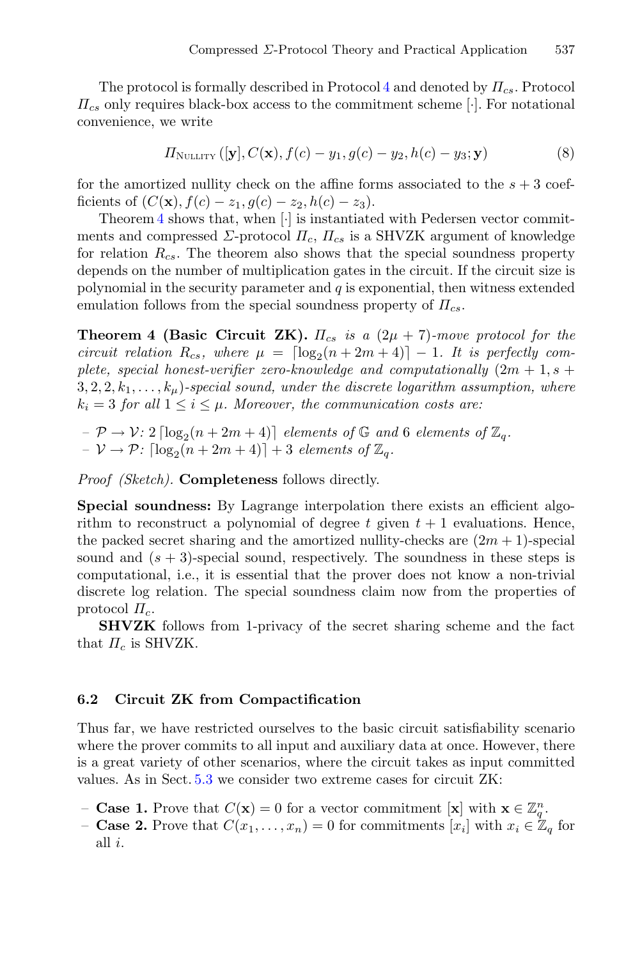The protocol is formally described in Protocol [4](#page-25-0) and denoted by  $\Pi_{cs}$ . Protocol  $\Pi_{cs}$  only requires black-box access to the commitment scheme [·]. For notational convenience, we write

$$
\Pi_{\text{NULLITY}}\left( [\mathbf{y}], C(\mathbf{x}), f(c) - y_1, g(c) - y_2, h(c) - y_3; \mathbf{y} \right) \tag{8}
$$

for the amortized nullity check on the affine forms associated to the  $s + 3$  coefficients of  $(C(\mathbf{x}), f(c) - z_1, g(c) - z_2, h(c) - z_3)$ .

Theorem [4](#page-24-0) shows that, when [·] is instantiated with Pedersen vector commitments and compressed  $\Sigma$ -protocol  $\Pi_c$ ,  $\Pi_{cs}$  is a SHVZK argument of knowledge for relation  $R_{cs}$ . The theorem also shows that the special soundness property depends on the number of multiplication gates in the circuit. If the circuit size is polynomial in the security parameter and  $q$  is exponential, then witness extended emulation follows from the special soundness property of  $\Pi_{cs}$ .

<span id="page-24-0"></span>**Theorem 4 (Basic Circuit ZK).**  $\Pi_{cs}$  *is a*  $(2\mu + 7)$ *-move protocol for the circuit relation*  $R_{cs}$ , where  $\mu = \left[\log_2(n + 2m + 4)\right] - 1$ . It is perfectly com*plete, special honest-verifier zero-knowledge and computationally*  $(2m + 1, s +$  $3, 2, 2, k_1, \ldots, k_\mu$ *)-special sound, under the discrete logarithm assumption, where*  $k_i = 3$  *for all*  $1 \leq i \leq \mu$ . Moreover, the communication costs are:

 $-$  P  $\rightarrow$  V: 2  $\lceil \log_2(n + 2m + 4) \rceil$  *elements of* G *and* 6 *elements of*  $\mathbb{Z}_q$ *.* 

 $-V \rightarrow \mathcal{P}$ :  $\lceil \log_2(n + 2m + 4) \rceil + 3$  *elements of*  $\mathbb{Z}_q$ .

*Proof (Sketch).* **Completeness** follows directly.

**Special soundness:** By Lagrange interpolation there exists an efficient algorithm to reconstruct a polynomial of degree t given  $t + 1$  evaluations. Hence, the packed secret sharing and the amortized nullity-checks are  $(2m + 1)$ -special sound and  $(s + 3)$ -special sound, respectively. The soundness in these steps is computational, i.e., it is essential that the prover does not know a non-trivial discrete log relation. The special soundness claim now from the properties of protocol  $\Pi_c$ .

**SHVZK** follows from 1-privacy of the secret sharing scheme and the fact that  $\Pi_c$  is SHVZK.

#### **6.2 Circuit ZK from Compactification**

Thus far, we have restricted ourselves to the basic circuit satisfiability scenario where the prover commits to all input and auxiliary data at once. However, there is a great variety of other scenarios, where the circuit takes as input committed values. As in Sect. [5.3](#page-20-0) we consider two extreme cases for circuit ZK:

- **Case 1.** Prove that  $C(\mathbf{x}) = 0$  for a vector commitment [**x**] with  $\mathbf{x} \in \mathbb{Z}_q^n$ .<br>
− **Case 2.** Prove that  $C(x, y) = 0$  for commitments [x,] with  $x \in \mathbb{Z}_q^n$ .
- **Case 2.** Prove that  $C(x_1,...,x_n) = 0$  for commitments  $[x_i]$  with  $x_i \in \mathbb{Z}_q$  for all i.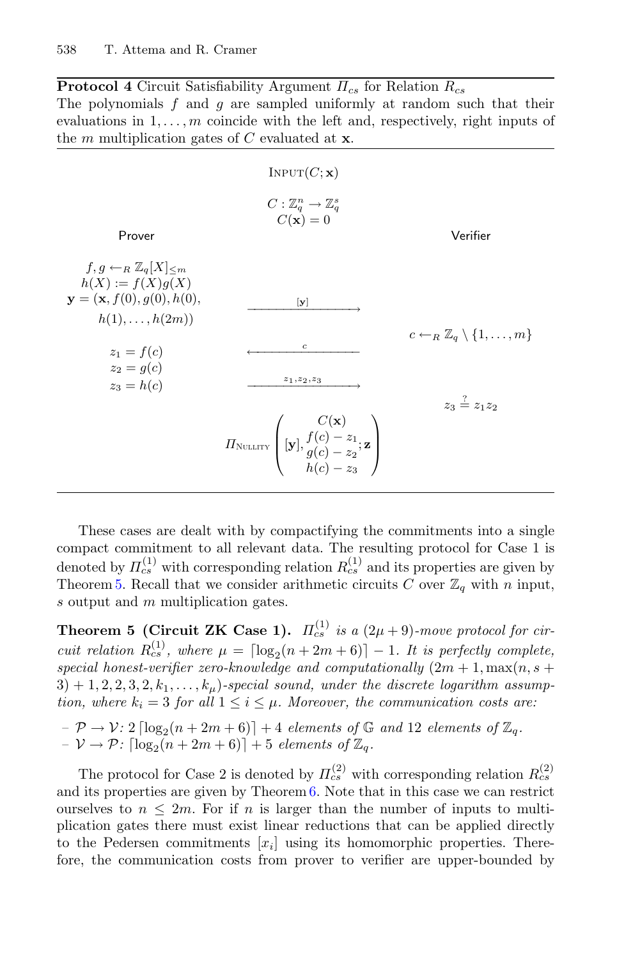### **Protocol 4** Circuit Satisfiability Argument  $\Pi_{cs}$  for Relation  $R_{cs}$

The polynomials f and q are sampled uniformly at random such that their evaluations in  $1, \ldots, m$  coincide with the left and, respectively, right inputs of the m multiplication gates of C evaluated at **<sup>x</sup>**.

<span id="page-25-0"></span>

These cases are dealt with by compactifying the commitments into a single compact commitment to all relevant data. The resulting protocol for Case 1 is denoted by  $\Pi_{cs}^{(1)}$  with corresponding relation  $R_{cs}^{(1)}$  and its properties are given by<br>Theorem 5. Becall that we consider arithmetic circuits  $C$  over  $\mathbb{Z}$ , with n input Theorem [5.](#page-25-1) Recall that we consider arithmetic circuits C over  $\mathbb{Z}_q$  with n input, s output and m multiplication gates.

<span id="page-25-1"></span>**Theorem 5 (Circuit ZK Case 1).**  $\Pi_{cs}^{(1)}$  is a  $(2\mu + 9)$ *-move protocol for cir-*<br>cuit relation  $P^{(1)}$  where  $\mu$  -  $\Xi$  as  $(n+2m+6)$ <sup>1</sup> - 1. It is perfectly complete *cuit relation*  $R_{cs}^{(1)}$ , where  $\mu = \left[\log_2(n + 2m + 6)\right] - 1$ . It is perfectly complete, special honest-verifier zero-knowledge and computationally  $(2m + 1 \text{ max}(n, s + 1))$ *special honest-verifier zero-knowledge and computationally*  $(2m + 1, \max(n, s +$  $3) + 1, 2, 2, 3, 2, k_1, \ldots, k_\mu$ *-special sound, under the discrete logarithm assumption, where*  $k_i = 3$  *for all*  $1 \leq i \leq \mu$ *. Moreover, the communication costs are:* 

 $-$  P  $\rightarrow$  V: 2  $\lceil \log_2(n + 2m + 6) \rceil$  + 4 *elements of*  $\mathbb{G}$  *and* 12 *elements of*  $\mathbb{Z}_q$ *.*  $-V \rightarrow \mathcal{P}$ :  $\lceil \log_2(n + 2m + 6) \rceil + 5$  *elements of*  $\mathbb{Z}_q$ .

The protocol for Case 2 is denoted by  $\Pi_{cs}^{(2)}$  with corresponding relation  $R_{cs}^{(2)}$ <br>is properties are given by Theorem 6. Note that in this case we can restrict and its properties are given by Theorem  $6$ . Note that in this case we can restrict ourselves to  $n \leq 2m$ . For if n is larger than the number of inputs to multiplication gates there must exist linear reductions that can be applied directly to the Pedersen commitments  $[x_i]$  using its homomorphic properties. Therefore, the communication costs from prover to verifier are upper-bounded by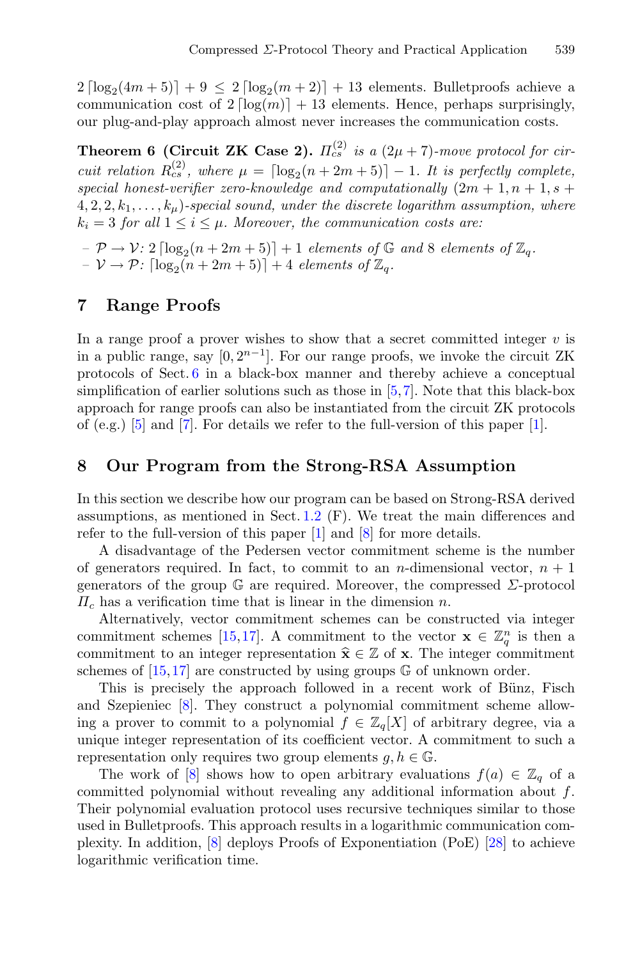$2 \left\lceil \log_2(4m+5) \right\rceil + 9 \leq 2 \left\lceil \log_2(m+2) \right\rceil + 13$  elements. Bulletproofs achieve a communication cost of  $2 \lfloor \log(m) \rfloor + 13$  elements. Hence, perhaps surprisingly, our plug-and-play approach almost never increases the communication costs.

<span id="page-26-1"></span>**Theorem 6 (Circuit ZK Case 2).**  $\Pi_{cs}^{(2)}$  is a  $(2\mu + 7)$ -move protocol for cir-<br>cuit relation  $P^{(2)}$  where  $\mu = [\text{loc} \ (n + 2m + 5)]$  and this perfectly complete *cuit relation*  $R_{cs}^{(2)}$ , where  $\mu = \left[ \log_2(n + 2m + 5) \right] - 1$ . It is perfectly complete, special honest-verifier zero-knowledge and computationally  $(2m + 1, n + 1, s + 1)$ *special honest-verifier zero-knowledge and computationally*  $(2m + 1, n + 1, s + 1)$  $4, 2, 2, k_1, \ldots, k_\mu$ *)-special sound, under the discrete logarithm assumption, where*  $k_i = 3$  *for all*  $1 \leq i \leq \mu$ . Moreover, the communication costs are:

 $-$  P  $\rightarrow$  V: 2  $\lceil \log_2(n + 2m + 5) \rceil$  + 1 *elements of* G *and* 8 *elements of*  $\mathbb{Z}_q$ *.*  $-V \rightarrow \mathcal{P}$ :  $\lceil \log_2(n + 2m + 5) \rceil + 4$  *elements of*  $\mathbb{Z}_q$ .

# <span id="page-26-0"></span>**7 Range Proofs**

In a range proof a prover wishes to show that a secret committed integer  $v$  is in a public range, say  $[0, 2^{n-1}]$ . For our range proofs, we invoke the circuit ZK protocols of Sect. [6](#page-21-0) in a black-box manner and thereby achieve a conceptual simplification of earlier solutions such as those in [\[5](#page-29-0),[7\]](#page-29-1). Note that this black-box approach for range proofs can also be instantiated from the circuit ZK protocols of (e.g.) [\[5\]](#page-29-0) and [\[7\]](#page-29-1). For details we refer to the full-version of this paper [\[1](#page-28-0)].

# **8 Our Program from the Strong-RSA Assumption**

In this section we describe how our program can be based on Strong-RSA derived assumptions, as mentioned in Sect. [1.2](#page-3-1) (F). We treat the main differences and refer to the full-version of this paper [\[1\]](#page-28-0) and [\[8\]](#page-29-4) for more details.

A disadvantage of the Pedersen vector commitment scheme is the number of generators required. In fact, to commit to an *n*-dimensional vector,  $n + 1$ generators of the group  $\mathbb{G}$  are required. Moreover, the compressed  $\Sigma$ -protocol  $\Pi_c$  has a verification time that is linear in the dimension n.

Alternatively, vector commitment schemes can be constructed via integer commitment schemes [\[15](#page-29-13)[,17](#page-29-14)]. A commitment to the vector  $\mathbf{x} \in \mathbb{Z}_q^n$  is then a commitment to an integer representation  $\hat{\mathbf{x}} \in \mathbb{Z}$  of **x**. The integer commitment schemes of  $[15,17]$  $[15,17]$  $[15,17]$  are constructed by using groups  $\mathbb G$  of unknown order.

This is precisely the approach followed in a recent work of Bünz, Fisch and Szepieniec [\[8\]](#page-29-4). They construct a polynomial commitment scheme allowing a prover to commit to a polynomial  $f \in \mathbb{Z}_q[X]$  of arbitrary degree, via a unique integer representation of its coefficient vector. A commitment to such a representation only requires two group elements  $g, h \in \mathbb{G}$ .

The work of [\[8](#page-29-4)] shows how to open arbitrary evaluations  $f(a) \in \mathbb{Z}_q$  of a committed polynomial without revealing any additional information about f. Their polynomial evaluation protocol uses recursive techniques similar to those used in Bulletproofs. This approach results in a logarithmic communication complexity. In addition, [\[8](#page-29-4)] deploys Proofs of Exponentiation (PoE) [\[28](#page-30-4)] to achieve logarithmic verification time.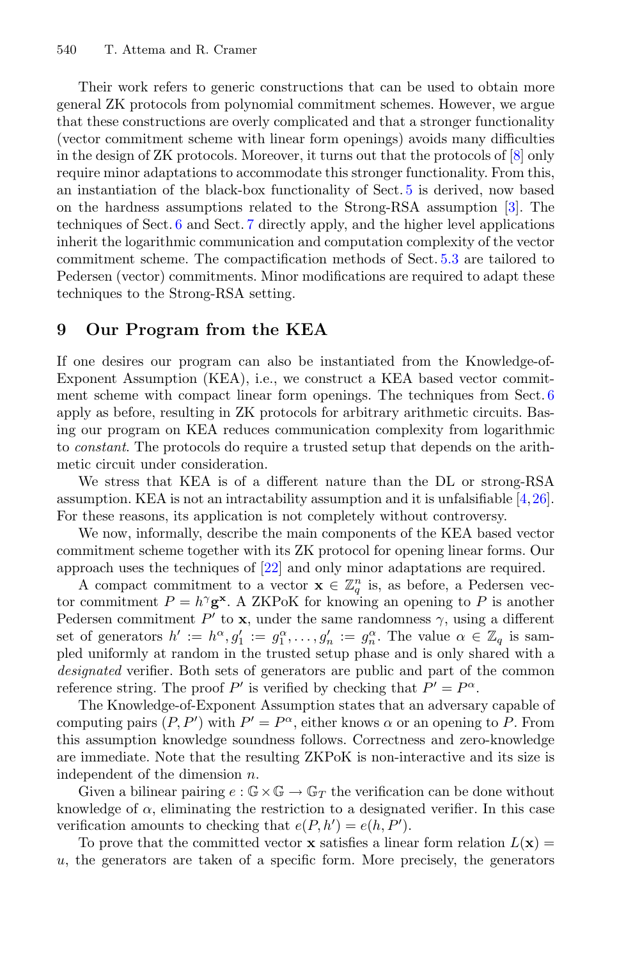Their work refers to generic constructions that can be used to obtain more general ZK protocols from polynomial commitment schemes. However, we argue that these constructions are overly complicated and that a stronger functionality (vector commitment scheme with linear form openings) avoids many difficulties in the design of ZK protocols. Moreover, it turns out that the protocols of [\[8](#page-29-4)] only require minor adaptations to accommodate this stronger functionality. From this, an instantiation of the black-box functionality of Sect. [5](#page-18-0) is derived, now based on the hardness assumptions related to the Strong-RSA assumption [\[3\]](#page-28-3). The techniques of Sect. [6](#page-21-0) and Sect. [7](#page-26-0) directly apply, and the higher level applications inherit the logarithmic communication and computation complexity of the vector commitment scheme. The compactification methods of Sect. [5.3](#page-20-0) are tailored to Pedersen (vector) commitments. Minor modifications are required to adapt these techniques to the Strong-RSA setting.

# <span id="page-27-0"></span>**9 Our Program from the KEA**

If one desires our program can also be instantiated from the Knowledge-of-Exponent Assumption (KEA), i.e., we construct a KEA based vector commitment scheme with compact linear form openings. The techniques from Sect. [6](#page-21-0) apply as before, resulting in ZK protocols for arbitrary arithmetic circuits. Basing our program on KEA reduces communication complexity from logarithmic to *constant*. The protocols do require a trusted setup that depends on the arithmetic circuit under consideration.

We stress that KEA is of a different nature than the DL or strong-RSA assumption. KEA is not an intractability assumption and it is unfalsifiable [\[4,](#page-28-1)[26\]](#page-30-2). For these reasons, its application is not completely without controversy.

We now, informally, describe the main components of the KEA based vector commitment scheme together with its ZK protocol for opening linear forms. Our approach uses the techniques of [\[22](#page-30-3)] and only minor adaptations are required.

A compact commitment to a vector  $\mathbf{x} \in \mathbb{Z}_q^n$  is, as before, a Pedersen vector commitment  $P = h^{\gamma} \mathbf{g}^{\mathbf{x}}$ . A ZKPoK for knowing an opening to P is another Pedersen commitment  $P'$  to **x**, under the same randomness  $\gamma$ , using a different set of generators  $h' := h^{\alpha}, g_1' := g_1^{\alpha}, \ldots, g_n' := g_n^{\alpha}$ . The value  $\alpha \in \mathbb{Z}_q$  is sampled uniformly at random in the trusted setup phase and is only shared with a pled uniformly at random in the trusted setup phase and is only shared with a *designated* verifier. Both sets of generators are public and part of the common reference string. The proof P' is verified by checking that  $P' = P^{\alpha}$ .

The Knowledge-of-Exponent Assumption states that an adversary capable of computing pairs  $(P, P')$  with  $P' = P^{\alpha}$ , either knows  $\alpha$  or an opening to P. From<br>this assumption knowledge soundness follows. Correctness and zero-knowledge this assumption knowledge soundness follows. Correctness and zero-knowledge are immediate. Note that the resulting ZKPoK is non-interactive and its size is independent of the dimension n.

Given a bilinear pairing  $e : \mathbb{G} \times \mathbb{G} \to \mathbb{G}_T$  the verification can be done without knowledge of  $\alpha$ , eliminating the restriction to a designated verifier. In this case verification amounts to checking that  $e(P, h') = e(h, P')$ .<br>To prove that the committed vector **x** satisfies a linear

To prove that the committed vector **x** satisfies a linear form relation  $L(\mathbf{x}) =$ u, the generators are taken of a specific form. More precisely, the generators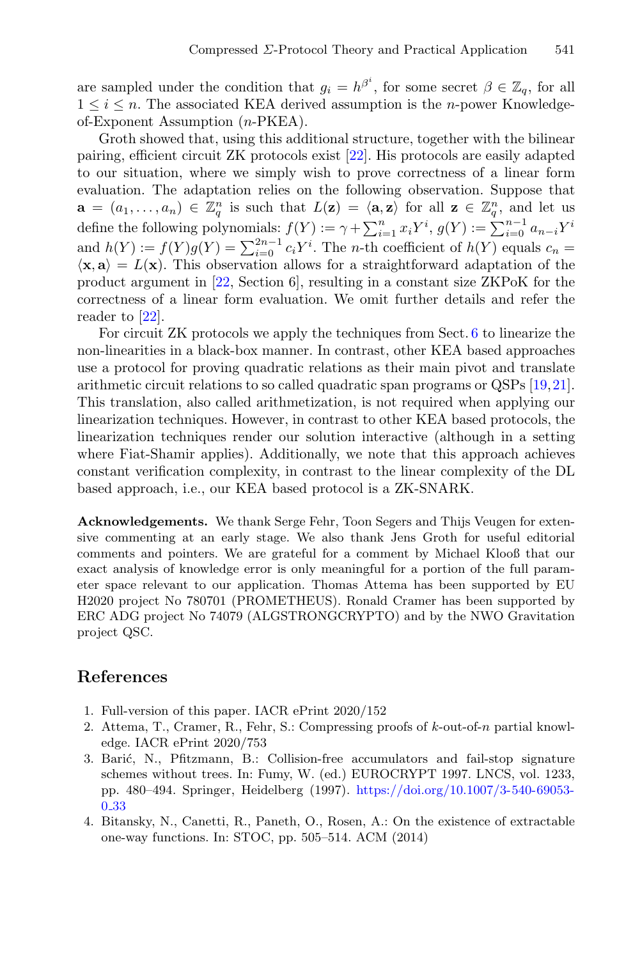are sampled under the condition that  $g_i = h^{\beta^i}$ , for some secret  $\beta \in \mathbb{Z}_q$ , for all  $1 \leq i \leq n$ . The associated KEA derived assumption is the *n*-power Knowledge- $1 \leq i \leq n$ . The associated KEA derived assumption is the *n*-power Knowledgeof-Exponent Assumption (n-PKEA).

Groth showed that, using this additional structure, together with the bilinear pairing, efficient circuit ZK protocols exist [\[22\]](#page-30-3). His protocols are easily adapted to our situation, where we simply wish to prove correctness of a linear form evaluation. The adaptation relies on the following observation. Suppose that  $\mathbf{a} = (a_1, \ldots, a_n) \in \mathbb{Z}_q^n$  is such that  $L(\mathbf{z}) = \langle \mathbf{a}, \mathbf{z} \rangle$  for all  $\mathbf{z} \in \mathbb{Z}_q^n$ , and let us<br>define the following polynomials:  $f(Y) = \mathbf{a} \cup \sum_{i=1}^n x_i a_i(Y) + \sum_{i=1}^n x_i a_i(Y)$ define the following polynomials:  $f(Y) := \gamma + \sum_{i=1}^n x_i Y^i$ ,  $g(Y) := \sum_{i=0}^{n-1} a_{n-i} Y^i$ and  $h(Y) := f(Y)g(Y) = \sum_{i=0}^{2n-1} c_i Y^i$ . The *n*-th coefficient of  $h(Y)$  equals  $c_n = (x, a) = L(x)$ . This observation allows for a straightforward adaptation of the  $\langle \mathbf{x}, \mathbf{a} \rangle = L(\mathbf{x})$ . This observation allows for a straightforward adaptation of the product argument in [\[22,](#page-30-3) Section 6], resulting in a constant size ZKPoK for the correctness of a linear form evaluation. We omit further details and refer the reader to [\[22\]](#page-30-3).

For circuit ZK protocols we apply the techniques from Sect. [6](#page-21-0) to linearize the non-linearities in a black-box manner. In contrast, other KEA based approaches use a protocol for proving quadratic relations as their main pivot and translate arithmetic circuit relations to so called quadratic span programs or QSPs [\[19](#page-29-15),[21\]](#page-30-9). This translation, also called arithmetization, is not required when applying our linearization techniques. However, in contrast to other KEA based protocols, the linearization techniques render our solution interactive (although in a setting where Fiat-Shamir applies). Additionally, we note that this approach achieves constant verification complexity, in contrast to the linear complexity of the DL based approach, i.e., our KEA based protocol is a ZK-SNARK.

**Acknowledgements.** We thank Serge Fehr, Toon Segers and Thijs Veugen for extensive commenting at an early stage. We also thank Jens Groth for useful editorial comments and pointers. We are grateful for a comment by Michael Klooß that our exact analysis of knowledge error is only meaningful for a portion of the full parameter space relevant to our application. Thomas Attema has been supported by EU H2020 project No 780701 (PROMETHEUS). Ronald Cramer has been supported by ERC ADG project No 74079 (ALGSTRONGCRYPTO) and by the NWO Gravitation project QSC.

# **References**

- <span id="page-28-0"></span>1. Full-version of this paper. IACR ePrint 2020/152
- <span id="page-28-2"></span>2. Attema, T., Cramer, R., Fehr, S.: Compressing proofs of  $k$ -out-of-n partial knowledge. IACR ePrint 2020/753
- <span id="page-28-3"></span>3. Barić, N., Pfitzmann, B.: Collision-free accumulators and fail-stop signature schemes without trees. In: Fumy, W. (ed.) EUROCRYPT 1997. LNCS, vol. 1233, pp. 480–494. Springer, Heidelberg (1997). [https://doi.org/10.1007/3-540-69053-](https://doi.org/10.1007/3-540-69053-0_33) 0 [33](https://doi.org/10.1007/3-540-69053-0_33)
- <span id="page-28-1"></span>4. Bitansky, N., Canetti, R., Paneth, O., Rosen, A.: On the existence of extractable one-way functions. In: STOC, pp. 505–514. ACM (2014)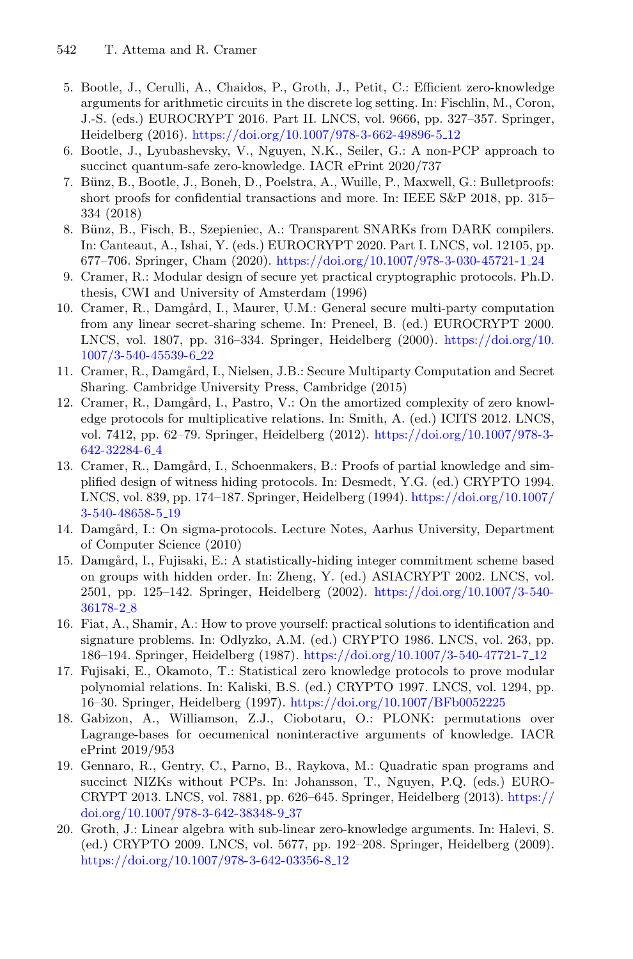- <span id="page-29-0"></span>5. Bootle, J., Cerulli, A., Chaidos, P., Groth, J., Petit, C.: Efficient zero-knowledge arguments for arithmetic circuits in the discrete log setting. In: Fischlin, M., Coron, J.-S. (eds.) EUROCRYPT 2016. Part II. LNCS, vol. 9666, pp. 327–357. Springer, Heidelberg (2016). [https://doi.org/10.1007/978-3-662-49896-5](https://doi.org/10.1007/978-3-662-49896-5_12) 12
- <span id="page-29-10"></span>6. Bootle, J., Lyubashevsky, V., Nguyen, N.K., Seiler, G.: A non-PCP approach to succinct quantum-safe zero-knowledge. IACR ePrint 2020/737
- <span id="page-29-1"></span>7. Bünz, B., Bootle, J., Boneh, D., Poelstra, A., Wuille, P., Maxwell, G.: Bulletproofs: short proofs for confidential transactions and more. In: IEEE S&P 2018, pp. 315– 334 (2018)
- <span id="page-29-4"></span>8. Bünz, B., Fisch, B., Szepieniec, A.: Transparent SNARKs from DARK compilers. In: Canteaut, A., Ishai, Y. (eds.) EUROCRYPT 2020. Part I. LNCS, vol. 12105, pp. 677–706. Springer, Cham (2020). [https://doi.org/10.1007/978-3-030-45721-1](https://doi.org/10.1007/978-3-030-45721-1_24) 24
- <span id="page-29-5"></span>9. Cramer, R.: Modular design of secure yet practical cryptographic protocols. Ph.D. thesis, CWI and University of Amsterdam (1996)
- <span id="page-29-7"></span>10. Cramer, R., Damgård, I., Maurer, U.M.: General secure multi-party computation from any linear secret-sharing scheme. In: Preneel, B. (ed.) EUROCRYPT 2000. LNCS, vol. 1807, pp. 316–334. Springer, Heidelberg (2000). [https://doi.org/10.](https://doi.org/10.1007/3-540-45539-6_22) [1007/3-540-45539-6](https://doi.org/10.1007/3-540-45539-6_22) 22
- <span id="page-29-8"></span>11. Cramer, R., Damgård, I., Nielsen, J.B.: Secure Multiparty Computation and Secret Sharing. Cambridge University Press, Cambridge (2015)
- <span id="page-29-3"></span>12. Cramer, R., Damgård, I., Pastro, V.: On the amortized complexity of zero knowledge protocols for multiplicative relations. In: Smith, A. (ed.) ICITS 2012. LNCS, vol. 7412, pp. 62–79. Springer, Heidelberg (2012). [https://doi.org/10.1007/978-3-](https://doi.org/10.1007/978-3-642-32284-6_4) [642-32284-6](https://doi.org/10.1007/978-3-642-32284-6_4) 4
- <span id="page-29-9"></span>13. Cramer, R., Damgård, I., Schoenmakers, B.: Proofs of partial knowledge and simplified design of witness hiding protocols. In: Desmedt, Y.G. (ed.) CRYPTO 1994. LNCS, vol. 839, pp. 174–187. Springer, Heidelberg (1994). [https://doi.org/10.1007/](https://doi.org/10.1007/3-540-48658-5_19) [3-540-48658-5](https://doi.org/10.1007/3-540-48658-5_19) 19
- <span id="page-29-6"></span>14. Damgård, I.: On sigma-protocols. Lecture Notes, Aarhus University, Department of Computer Science (2010)
- <span id="page-29-13"></span>15. Damgård, I., Fujisaki, E.: A statistically-hiding integer commitment scheme based on groups with hidden order. In: Zheng, Y. (ed.) ASIACRYPT 2002. LNCS, vol. 2501, pp. 125–142. Springer, Heidelberg (2002). [https://doi.org/10.1007/3-540-](https://doi.org/10.1007/3-540-36178-2_8) [36178-2](https://doi.org/10.1007/3-540-36178-2_8) 8
- <span id="page-29-2"></span>16. Fiat, A., Shamir, A.: How to prove yourself: practical solutions to identification and signature problems. In: Odlyzko, A.M. (ed.) CRYPTO 1986. LNCS, vol. 263, pp. 186–194. Springer, Heidelberg (1987). [https://doi.org/10.1007/3-540-47721-7](https://doi.org/10.1007/3-540-47721-7_12) 12
- <span id="page-29-14"></span>17. Fujisaki, E., Okamoto, T.: Statistical zero knowledge protocols to prove modular polynomial relations. In: Kaliski, B.S. (ed.) CRYPTO 1997. LNCS, vol. 1294, pp. 16–30. Springer, Heidelberg (1997). <https://doi.org/10.1007/BFb0052225>
- <span id="page-29-12"></span>18. Gabizon, A., Williamson, Z.J., Ciobotaru, O.: PLONK: permutations over Lagrange-bases for oecumenical noninteractive arguments of knowledge. IACR ePrint 2019/953
- <span id="page-29-15"></span>19. Gennaro, R., Gentry, C., Parno, B., Raykova, M.: Quadratic span programs and succinct NIZKs without PCPs. In: Johansson, T., Nguyen, P.Q. (eds.) EURO-CRYPT 2013. LNCS, vol. 7881, pp. 626–645. Springer, Heidelberg (2013). [https://](https://doi.org/10.1007/978-3-642-38348-9_37) [doi.org/10.1007/978-3-642-38348-9](https://doi.org/10.1007/978-3-642-38348-9_37)<sub>-37</sub>
- <span id="page-29-11"></span>20. Groth, J.: Linear algebra with sub-linear zero-knowledge arguments. In: Halevi, S. (ed.) CRYPTO 2009. LNCS, vol. 5677, pp. 192–208. Springer, Heidelberg (2009). [https://doi.org/10.1007/978-3-642-03356-8](https://doi.org/10.1007/978-3-642-03356-8_12) 12